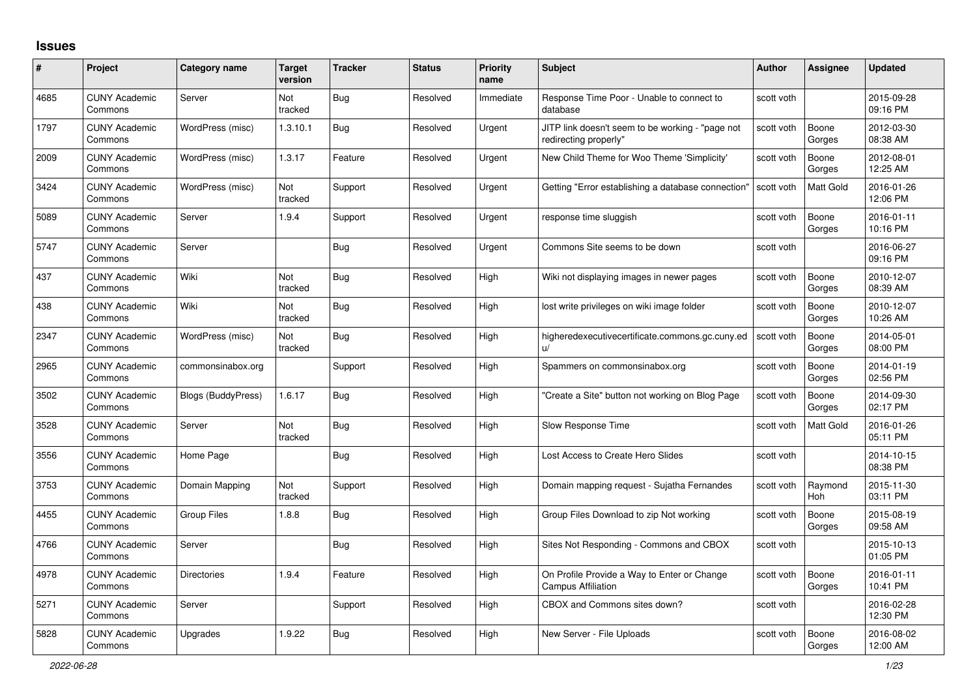## **Issues**

| #    | Project                         | Category name             | <b>Target</b><br>version | <b>Tracker</b> | <b>Status</b> | <b>Priority</b><br>name | <b>Subject</b>                                                            | Author     | <b>Assignee</b>       | <b>Updated</b>         |
|------|---------------------------------|---------------------------|--------------------------|----------------|---------------|-------------------------|---------------------------------------------------------------------------|------------|-----------------------|------------------------|
| 4685 | <b>CUNY Academic</b><br>Commons | Server                    | Not<br>tracked           | Bug            | Resolved      | Immediate               | Response Time Poor - Unable to connect to<br>database                     | scott voth |                       | 2015-09-28<br>09:16 PM |
| 1797 | <b>CUNY Academic</b><br>Commons | WordPress (misc)          | 1.3.10.1                 | <b>Bug</b>     | Resolved      | Urgent                  | JITP link doesn't seem to be working - "page not<br>redirecting properly" | scott voth | Boone<br>Gorges       | 2012-03-30<br>08:38 AM |
| 2009 | <b>CUNY Academic</b><br>Commons | WordPress (misc)          | 1.3.17                   | Feature        | Resolved      | Urgent                  | New Child Theme for Woo Theme 'Simplicity'                                | scott voth | Boone<br>Gorges       | 2012-08-01<br>12:25 AM |
| 3424 | <b>CUNY Academic</b><br>Commons | WordPress (misc)          | Not<br>tracked           | Support        | Resolved      | Urgent                  | Getting "Error establishing a database connection"                        | scott voth | Matt Gold             | 2016-01-26<br>12:06 PM |
| 5089 | <b>CUNY Academic</b><br>Commons | Server                    | 1.9.4                    | Support        | Resolved      | Urgent                  | response time sluggish                                                    | scott voth | Boone<br>Gorges       | 2016-01-11<br>10:16 PM |
| 5747 | <b>CUNY Academic</b><br>Commons | Server                    |                          | Bug            | Resolved      | Urgent                  | Commons Site seems to be down                                             | scott voth |                       | 2016-06-27<br>09:16 PM |
| 437  | <b>CUNY Academic</b><br>Commons | Wiki                      | Not<br>tracked           | <b>Bug</b>     | Resolved      | High                    | Wiki not displaying images in newer pages                                 | scott voth | Boone<br>Gorges       | 2010-12-07<br>08:39 AM |
| 438  | <b>CUNY Academic</b><br>Commons | Wiki                      | <b>Not</b><br>tracked    | Bug            | Resolved      | Hiah                    | lost write privileges on wiki image folder                                | scott voth | Boone<br>Gorges       | 2010-12-07<br>10:26 AM |
| 2347 | <b>CUNY Academic</b><br>Commons | WordPress (misc)          | Not<br>tracked           | <b>Bug</b>     | Resolved      | High                    | higheredexecutivecertificate.commons.gc.cuny.ed<br>$\mathsf{u}/$          | scott voth | Boone<br>Gorges       | 2014-05-01<br>08:00 PM |
| 2965 | <b>CUNY Academic</b><br>Commons | commonsinabox.org         |                          | Support        | Resolved      | High                    | Spammers on commonsinabox.org                                             | scott voth | Boone<br>Gorges       | 2014-01-19<br>02:56 PM |
| 3502 | <b>CUNY Academic</b><br>Commons | <b>Blogs (BuddyPress)</b> | 1.6.17                   | Bug            | Resolved      | High                    | "Create a Site" button not working on Blog Page                           | scott voth | Boone<br>Gorges       | 2014-09-30<br>02:17 PM |
| 3528 | <b>CUNY Academic</b><br>Commons | Server                    | <b>Not</b><br>tracked    | Bug            | Resolved      | High                    | Slow Response Time                                                        | scott voth | Matt Gold             | 2016-01-26<br>05:11 PM |
| 3556 | <b>CUNY Academic</b><br>Commons | Home Page                 |                          | Bug            | Resolved      | High                    | Lost Access to Create Hero Slides                                         | scott voth |                       | 2014-10-15<br>08:38 PM |
| 3753 | <b>CUNY Academic</b><br>Commons | Domain Mapping            | Not<br>tracked           | Support        | Resolved      | High                    | Domain mapping request - Sujatha Fernandes                                | scott voth | Raymond<br><b>Hoh</b> | 2015-11-30<br>03:11 PM |
| 4455 | <b>CUNY Academic</b><br>Commons | <b>Group Files</b>        | 1.8.8                    | <b>Bug</b>     | Resolved      | High                    | Group Files Download to zip Not working                                   | scott voth | Boone<br>Gorges       | 2015-08-19<br>09:58 AM |
| 4766 | <b>CUNY Academic</b><br>Commons | Server                    |                          | <b>Bug</b>     | Resolved      | High                    | Sites Not Responding - Commons and CBOX                                   | scott voth |                       | 2015-10-13<br>01:05 PM |
| 4978 | <b>CUNY Academic</b><br>Commons | <b>Directories</b>        | 1.9.4                    | Feature        | Resolved      | High                    | On Profile Provide a Way to Enter or Change<br><b>Campus Affiliation</b>  | scott voth | Boone<br>Gorges       | 2016-01-11<br>10:41 PM |
| 5271 | <b>CUNY Academic</b><br>Commons | Server                    |                          | Support        | Resolved      | High                    | CBOX and Commons sites down?                                              | scott voth |                       | 2016-02-28<br>12:30 PM |
| 5828 | <b>CUNY Academic</b><br>Commons | Upgrades                  | 1.9.22                   | <b>Bug</b>     | Resolved      | High                    | New Server - File Uploads                                                 | scott voth | Boone<br>Gorges       | 2016-08-02<br>12:00 AM |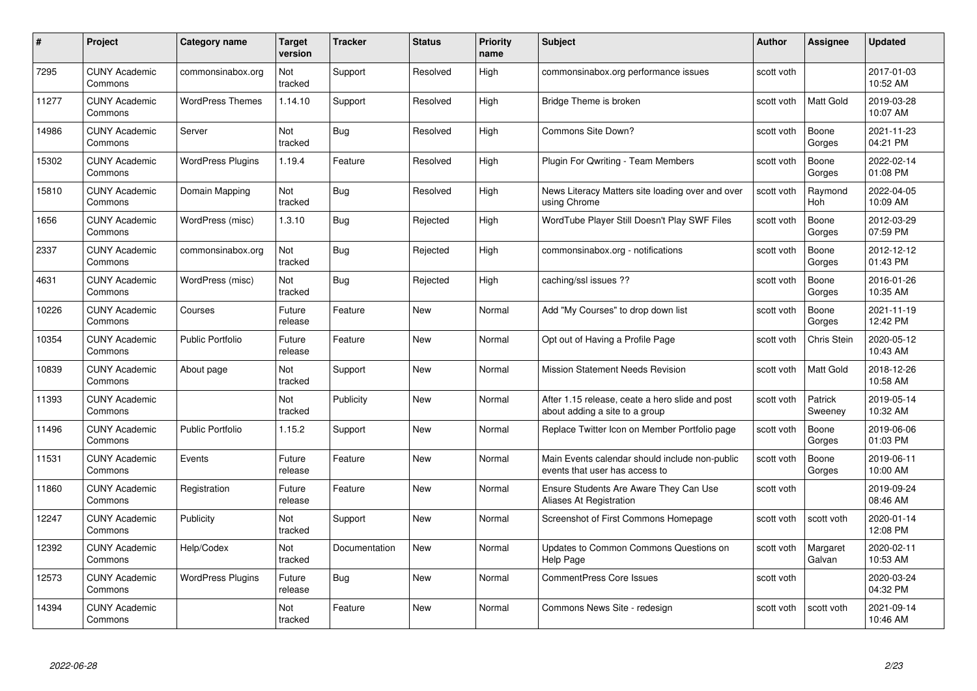| #     | Project                         | Category name            | <b>Target</b><br>version | <b>Tracker</b> | <b>Status</b> | <b>Priority</b><br>name | <b>Subject</b>                                                                    | <b>Author</b> | Assignee           | <b>Updated</b>         |
|-------|---------------------------------|--------------------------|--------------------------|----------------|---------------|-------------------------|-----------------------------------------------------------------------------------|---------------|--------------------|------------------------|
| 7295  | <b>CUNY Academic</b><br>Commons | commonsinabox.org        | Not<br>tracked           | Support        | Resolved      | High                    | commonsinabox.org performance issues                                              | scott voth    |                    | 2017-01-03<br>10:52 AM |
| 11277 | <b>CUNY Academic</b><br>Commons | <b>WordPress Themes</b>  | 1.14.10                  | Support        | Resolved      | High                    | Bridge Theme is broken                                                            | scott voth    | Matt Gold          | 2019-03-28<br>10:07 AM |
| 14986 | <b>CUNY Academic</b><br>Commons | Server                   | Not<br>tracked           | Bug            | Resolved      | High                    | Commons Site Down?                                                                | scott voth    | Boone<br>Gorges    | 2021-11-23<br>04:21 PM |
| 15302 | <b>CUNY Academic</b><br>Commons | <b>WordPress Plugins</b> | 1.19.4                   | Feature        | Resolved      | High                    | Plugin For Qwriting - Team Members                                                | scott voth    | Boone<br>Gorges    | 2022-02-14<br>01:08 PM |
| 15810 | <b>CUNY Academic</b><br>Commons | Domain Mapping           | Not<br>tracked           | <b>Bug</b>     | Resolved      | High                    | News Literacy Matters site loading over and over<br>using Chrome                  | scott voth    | Raymond<br>Hoh     | 2022-04-05<br>10:09 AM |
| 1656  | <b>CUNY Academic</b><br>Commons | WordPress (misc)         | 1.3.10                   | Bug            | Rejected      | High                    | WordTube Player Still Doesn't Play SWF Files                                      | scott voth    | Boone<br>Gorges    | 2012-03-29<br>07:59 PM |
| 2337  | <b>CUNY Academic</b><br>Commons | commonsinabox.org        | Not<br>tracked           | <b>Bug</b>     | Rejected      | High                    | commonsinabox.org - notifications                                                 | scott voth    | Boone<br>Gorges    | 2012-12-12<br>01:43 PM |
| 4631  | <b>CUNY Academic</b><br>Commons | WordPress (misc)         | Not<br>tracked           | Bug            | Rejected      | High                    | caching/ssl issues ??                                                             | scott voth    | Boone<br>Gorges    | 2016-01-26<br>10:35 AM |
| 10226 | <b>CUNY Academic</b><br>Commons | Courses                  | Future<br>release        | Feature        | New           | Normal                  | Add "My Courses" to drop down list                                                | scott voth    | Boone<br>Gorges    | 2021-11-19<br>12:42 PM |
| 10354 | <b>CUNY Academic</b><br>Commons | <b>Public Portfolio</b>  | Future<br>release        | Feature        | New           | Normal                  | Opt out of Having a Profile Page                                                  | scott voth    | Chris Stein        | 2020-05-12<br>10:43 AM |
| 10839 | <b>CUNY Academic</b><br>Commons | About page               | Not<br>tracked           | Support        | New           | Normal                  | <b>Mission Statement Needs Revision</b>                                           | scott voth    | <b>Matt Gold</b>   | 2018-12-26<br>10:58 AM |
| 11393 | <b>CUNY Academic</b><br>Commons |                          | Not<br>tracked           | Publicity      | New           | Normal                  | After 1.15 release, ceate a hero slide and post<br>about adding a site to a group | scott voth    | Patrick<br>Sweeney | 2019-05-14<br>10:32 AM |
| 11496 | <b>CUNY Academic</b><br>Commons | <b>Public Portfolio</b>  | 1.15.2                   | Support        | New           | Normal                  | Replace Twitter Icon on Member Portfolio page                                     | scott voth    | Boone<br>Gorges    | 2019-06-06<br>01:03 PM |
| 11531 | <b>CUNY Academic</b><br>Commons | Events                   | Future<br>release        | Feature        | New           | Normal                  | Main Events calendar should include non-public<br>events that user has access to  | scott voth    | Boone<br>Gorges    | 2019-06-11<br>10:00 AM |
| 11860 | <b>CUNY Academic</b><br>Commons | Registration             | Future<br>release        | Feature        | New           | Normal                  | Ensure Students Are Aware They Can Use<br>Aliases At Registration                 | scott voth    |                    | 2019-09-24<br>08:46 AM |
| 12247 | <b>CUNY Academic</b><br>Commons | Publicity                | Not<br>tracked           | Support        | New           | Normal                  | Screenshot of First Commons Homepage                                              | scott voth    | scott voth         | 2020-01-14<br>12:08 PM |
| 12392 | <b>CUNY Academic</b><br>Commons | Help/Codex               | Not<br>tracked           | Documentation  | New           | Normal                  | Updates to Common Commons Questions on<br><b>Help Page</b>                        | scott voth    | Margaret<br>Galvan | 2020-02-11<br>10:53 AM |
| 12573 | <b>CUNY Academic</b><br>Commons | <b>WordPress Plugins</b> | Future<br>release        | Bug            | <b>New</b>    | Normal                  | <b>CommentPress Core Issues</b>                                                   | scott voth    |                    | 2020-03-24<br>04:32 PM |
| 14394 | <b>CUNY Academic</b><br>Commons |                          | Not<br>tracked           | Feature        | <b>New</b>    | Normal                  | Commons News Site - redesign                                                      | scott voth    | scott voth         | 2021-09-14<br>10:46 AM |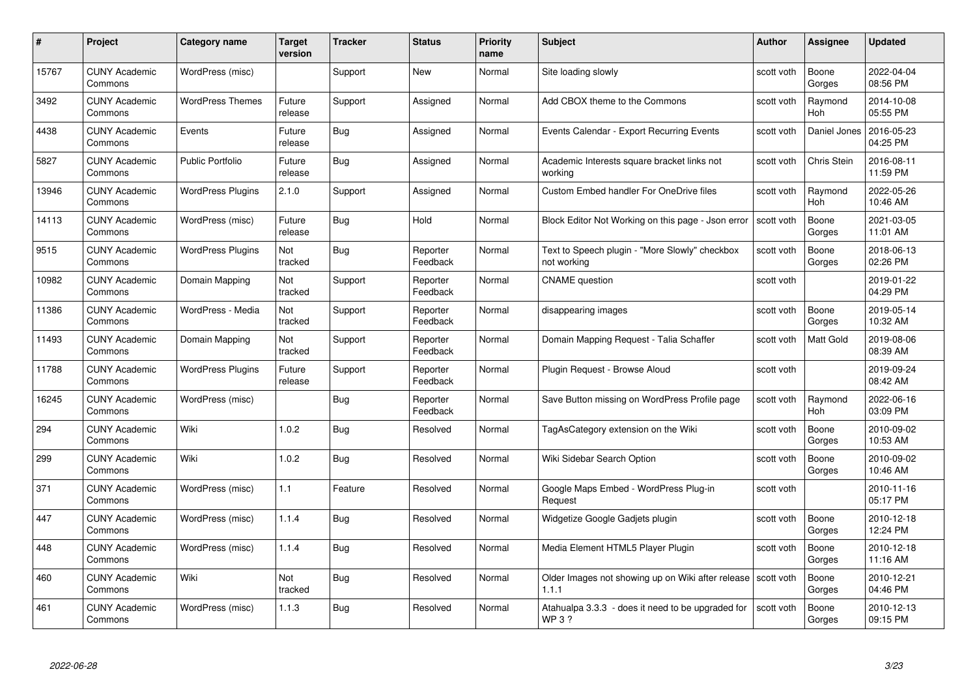| #     | Project                         | <b>Category name</b>     | Target<br>version | <b>Tracker</b> | <b>Status</b>        | <b>Priority</b><br>name | <b>Subject</b>                                                          | <b>Author</b> | <b>Assignee</b>       | <b>Updated</b>         |
|-------|---------------------------------|--------------------------|-------------------|----------------|----------------------|-------------------------|-------------------------------------------------------------------------|---------------|-----------------------|------------------------|
| 15767 | <b>CUNY Academic</b><br>Commons | WordPress (misc)         |                   | Support        | <b>New</b>           | Normal                  | Site loading slowly                                                     | scott voth    | Boone<br>Gorges       | 2022-04-04<br>08:56 PM |
| 3492  | <b>CUNY Academic</b><br>Commons | <b>WordPress Themes</b>  | Future<br>release | Support        | Assigned             | Normal                  | Add CBOX theme to the Commons                                           | scott voth    | Raymond<br><b>Hoh</b> | 2014-10-08<br>05:55 PM |
| 4438  | <b>CUNY Academic</b><br>Commons | Events                   | Future<br>release | Bug            | Assigned             | Normal                  | Events Calendar - Export Recurring Events                               | scott voth    | Daniel Jones          | 2016-05-23<br>04:25 PM |
| 5827  | <b>CUNY Academic</b><br>Commons | Public Portfolio         | Future<br>release | Bug            | Assigned             | Normal                  | Academic Interests square bracket links not<br>workina                  | scott voth    | Chris Stein           | 2016-08-11<br>11:59 PM |
| 13946 | <b>CUNY Academic</b><br>Commons | <b>WordPress Plugins</b> | 2.1.0             | Support        | Assigned             | Normal                  | <b>Custom Embed handler For OneDrive files</b>                          | scott voth    | Raymond<br>Hoh        | 2022-05-26<br>10:46 AM |
| 14113 | <b>CUNY Academic</b><br>Commons | WordPress (misc)         | Future<br>release | <b>Bug</b>     | Hold                 | Normal                  | Block Editor Not Working on this page - Json error                      | scott voth    | Boone<br>Gorges       | 2021-03-05<br>11:01 AM |
| 9515  | <b>CUNY Academic</b><br>Commons | <b>WordPress Plugins</b> | Not<br>tracked    | Bug            | Reporter<br>Feedback | Normal                  | Text to Speech plugin - "More Slowly" checkbox<br>not working           | scott voth    | Boone<br>Gorges       | 2018-06-13<br>02:26 PM |
| 10982 | <b>CUNY Academic</b><br>Commons | Domain Mapping           | Not<br>tracked    | Support        | Reporter<br>Feedback | Normal                  | <b>CNAME</b> question                                                   | scott voth    |                       | 2019-01-22<br>04:29 PM |
| 11386 | <b>CUNY Academic</b><br>Commons | WordPress - Media        | Not<br>tracked    | Support        | Reporter<br>Feedback | Normal                  | disappearing images                                                     | scott voth    | Boone<br>Gorges       | 2019-05-14<br>10:32 AM |
| 11493 | <b>CUNY Academic</b><br>Commons | Domain Mapping           | Not<br>tracked    | Support        | Reporter<br>Feedback | Normal                  | Domain Mapping Request - Talia Schaffer                                 | scott voth    | Matt Gold             | 2019-08-06<br>08:39 AM |
| 11788 | CUNY Academic<br>Commons        | <b>WordPress Plugins</b> | Future<br>release | Support        | Reporter<br>Feedback | Normal                  | Plugin Request - Browse Aloud                                           | scott voth    |                       | 2019-09-24<br>08:42 AM |
| 16245 | <b>CUNY Academic</b><br>Commons | WordPress (misc)         |                   | Bug            | Reporter<br>Feedback | Normal                  | Save Button missing on WordPress Profile page                           | scott voth    | Raymond<br>Hoh        | 2022-06-16<br>03:09 PM |
| 294   | <b>CUNY Academic</b><br>Commons | Wiki                     | 1.0.2             | Bug            | Resolved             | Normal                  | TagAsCategory extension on the Wiki                                     | scott voth    | Boone<br>Gorges       | 2010-09-02<br>10:53 AM |
| 299   | <b>CUNY Academic</b><br>Commons | Wiki                     | 1.0.2             | <b>Bug</b>     | Resolved             | Normal                  | Wiki Sidebar Search Option                                              | scott voth    | Boone<br>Gorges       | 2010-09-02<br>10:46 AM |
| 371   | <b>CUNY Academic</b><br>Commons | WordPress (misc)         | 1.1               | Feature        | Resolved             | Normal                  | Google Maps Embed - WordPress Plug-in<br>Request                        | scott voth    |                       | 2010-11-16<br>05:17 PM |
| 447   | <b>CUNY Academic</b><br>Commons | WordPress (misc)         | 1.1.4             | Bug            | Resolved             | Normal                  | Widgetize Google Gadjets plugin                                         | scott voth    | Boone<br>Gorges       | 2010-12-18<br>12:24 PM |
| 448   | <b>CUNY Academic</b><br>Commons | WordPress (misc)         | 1.1.4             | <b>Bug</b>     | Resolved             | Normal                  | Media Element HTML5 Player Plugin                                       | scott voth    | Boone<br>Gorges       | 2010-12-18<br>11:16 AM |
| 460   | <b>CUNY Academic</b><br>Commons | Wiki                     | Not<br>tracked    | <b>Bug</b>     | Resolved             | Normal                  | Older Images not showing up on Wiki after release   scott voth<br>1.1.1 |               | Boone<br>Gorges       | 2010-12-21<br>04:46 PM |
| 461   | CUNY Academic<br>Commons        | WordPress (misc)         | 1.1.3             | <b>Bug</b>     | Resolved             | Normal                  | Atahualpa 3.3.3 - does it need to be upgraded for<br><b>WP3?</b>        | scott voth    | Boone<br>Gorges       | 2010-12-13<br>09:15 PM |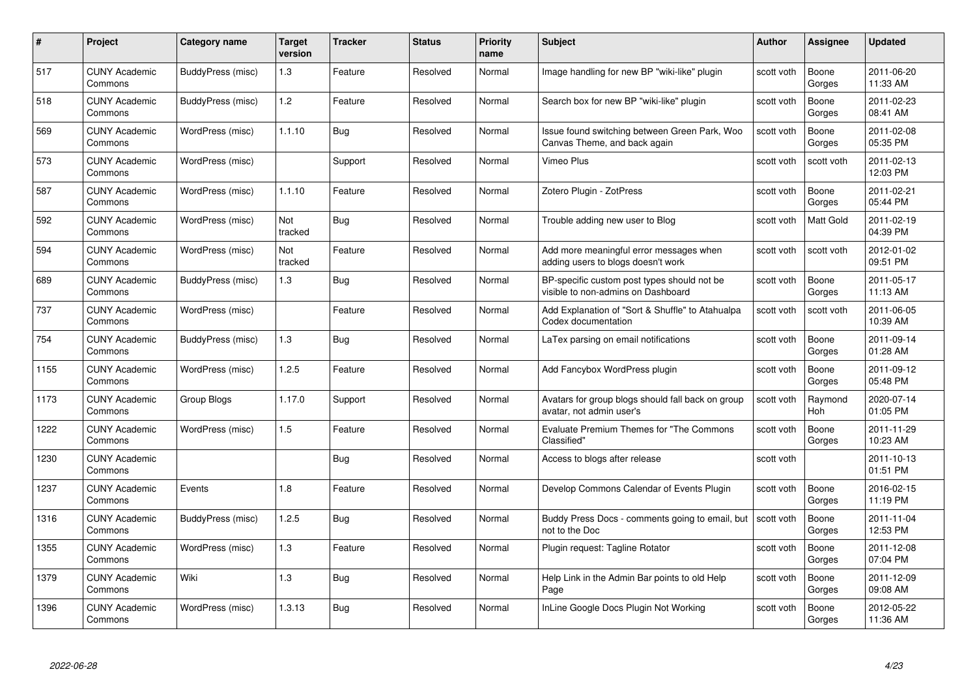| #    | Project                         | <b>Category name</b> | Target<br>version | <b>Tracker</b> | <b>Status</b> | <b>Priority</b><br>name | <b>Subject</b>                                                                     | Author     | Assignee              | <b>Updated</b>         |
|------|---------------------------------|----------------------|-------------------|----------------|---------------|-------------------------|------------------------------------------------------------------------------------|------------|-----------------------|------------------------|
| 517  | <b>CUNY Academic</b><br>Commons | BuddyPress (misc)    | 1.3               | Feature        | Resolved      | Normal                  | Image handling for new BP "wiki-like" plugin                                       | scott voth | Boone<br>Gorges       | 2011-06-20<br>11:33 AM |
| 518  | <b>CUNY Academic</b><br>Commons | BuddyPress (misc)    | 1.2               | Feature        | Resolved      | Normal                  | Search box for new BP "wiki-like" plugin                                           | scott voth | Boone<br>Gorges       | 2011-02-23<br>08:41 AM |
| 569  | <b>CUNY Academic</b><br>Commons | WordPress (misc)     | 1.1.10            | <b>Bug</b>     | Resolved      | Normal                  | Issue found switching between Green Park, Woo<br>Canvas Theme, and back again      | scott voth | Boone<br>Gorges       | 2011-02-08<br>05:35 PM |
| 573  | <b>CUNY Academic</b><br>Commons | WordPress (misc)     |                   | Support        | Resolved      | Normal                  | Vimeo Plus                                                                         | scott voth | scott voth            | 2011-02-13<br>12:03 PM |
| 587  | <b>CUNY Academic</b><br>Commons | WordPress (misc)     | 1.1.10            | Feature        | Resolved      | Normal                  | Zotero Plugin - ZotPress                                                           | scott voth | Boone<br>Gorges       | 2011-02-21<br>05:44 PM |
| 592  | <b>CUNY Academic</b><br>Commons | WordPress (misc)     | Not<br>tracked    | <b>Bug</b>     | Resolved      | Normal                  | Trouble adding new user to Blog                                                    | scott voth | <b>Matt Gold</b>      | 2011-02-19<br>04:39 PM |
| 594  | <b>CUNY Academic</b><br>Commons | WordPress (misc)     | Not<br>tracked    | Feature        | Resolved      | Normal                  | Add more meaningful error messages when<br>adding users to blogs doesn't work      | scott voth | scott voth            | 2012-01-02<br>09:51 PM |
| 689  | <b>CUNY Academic</b><br>Commons | BuddyPress (misc)    | $1.3$             | Bug            | Resolved      | Normal                  | BP-specific custom post types should not be.<br>visible to non-admins on Dashboard | scott voth | Boone<br>Gorges       | 2011-05-17<br>11:13 AM |
| 737  | <b>CUNY Academic</b><br>Commons | WordPress (misc)     |                   | Feature        | Resolved      | Normal                  | Add Explanation of "Sort & Shuffle" to Atahualpa<br>Codex documentation            | scott voth | scott voth            | 2011-06-05<br>10:39 AM |
| 754  | <b>CUNY Academic</b><br>Commons | BuddyPress (misc)    | 1.3               | <b>Bug</b>     | Resolved      | Normal                  | LaTex parsing on email notifications                                               | scott voth | Boone<br>Gorges       | 2011-09-14<br>01:28 AM |
| 1155 | <b>CUNY Academic</b><br>Commons | WordPress (misc)     | 1.2.5             | Feature        | Resolved      | Normal                  | Add Fancybox WordPress plugin                                                      | scott voth | Boone<br>Gorges       | 2011-09-12<br>05:48 PM |
| 1173 | <b>CUNY Academic</b><br>Commons | Group Blogs          | 1.17.0            | Support        | Resolved      | Normal                  | Avatars for group blogs should fall back on group<br>avatar, not admin user's      | scott voth | Raymond<br><b>Hoh</b> | 2020-07-14<br>01:05 PM |
| 1222 | <b>CUNY Academic</b><br>Commons | WordPress (misc)     | 1.5               | Feature        | Resolved      | Normal                  | Evaluate Premium Themes for "The Commons<br>Classified"                            | scott voth | Boone<br>Gorges       | 2011-11-29<br>10:23 AM |
| 1230 | <b>CUNY Academic</b><br>Commons |                      |                   | <b>Bug</b>     | Resolved      | Normal                  | Access to blogs after release                                                      | scott voth |                       | 2011-10-13<br>01:51 PM |
| 1237 | <b>CUNY Academic</b><br>Commons | Events               | 1.8               | Feature        | Resolved      | Normal                  | Develop Commons Calendar of Events Plugin                                          | scott voth | Boone<br>Gorges       | 2016-02-15<br>11:19 PM |
| 1316 | <b>CUNY Academic</b><br>Commons | BuddyPress (misc)    | 1.2.5             | <b>Bug</b>     | Resolved      | Normal                  | Buddy Press Docs - comments going to email, but<br>not to the Doc                  | scott voth | Boone<br>Gorges       | 2011-11-04<br>12:53 PM |
| 1355 | <b>CUNY Academic</b><br>Commons | WordPress (misc)     | 1.3               | Feature        | Resolved      | Normal                  | Plugin request: Tagline Rotator                                                    | scott voth | Boone<br>Gorges       | 2011-12-08<br>07:04 PM |
| 1379 | <b>CUNY Academic</b><br>Commons | Wiki                 | $1.3$             | <b>Bug</b>     | Resolved      | Normal                  | Help Link in the Admin Bar points to old Help<br>Page                              | scott voth | Boone<br>Gorges       | 2011-12-09<br>09:08 AM |
| 1396 | <b>CUNY Academic</b><br>Commons | WordPress (misc)     | 1.3.13            | <b>Bug</b>     | Resolved      | Normal                  | InLine Google Docs Plugin Not Working                                              | scott voth | Boone<br>Gorges       | 2012-05-22<br>11:36 AM |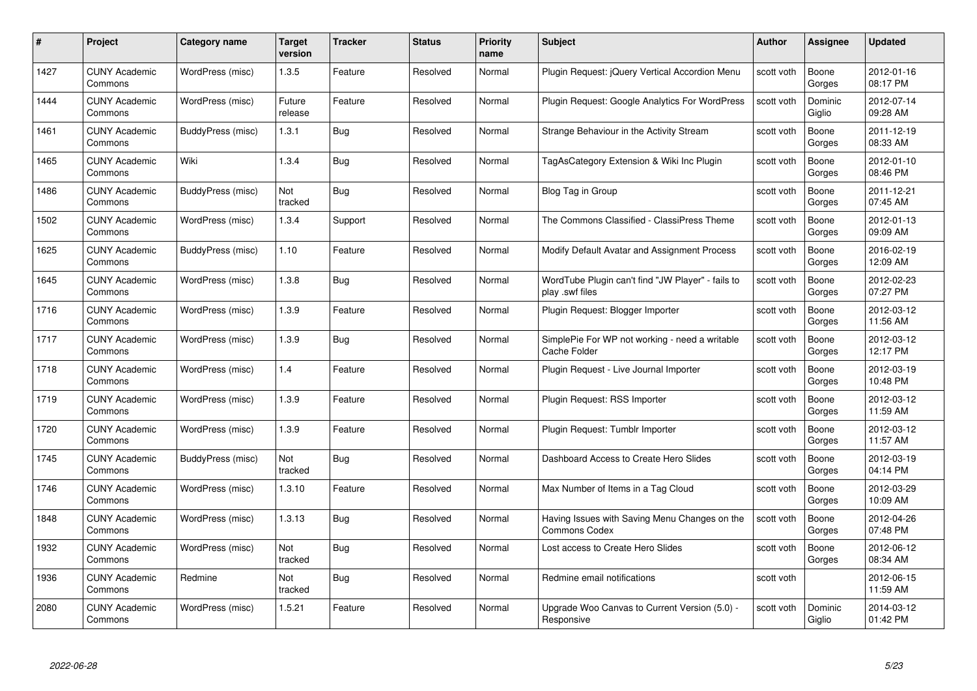| #    | Project                         | <b>Category name</b> | Target<br>version     | <b>Tracker</b> | <b>Status</b> | <b>Priority</b><br>name | <b>Subject</b>                                                        | <b>Author</b> | <b>Assignee</b>   | <b>Updated</b>         |
|------|---------------------------------|----------------------|-----------------------|----------------|---------------|-------------------------|-----------------------------------------------------------------------|---------------|-------------------|------------------------|
| 1427 | <b>CUNY Academic</b><br>Commons | WordPress (misc)     | 1.3.5                 | Feature        | Resolved      | Normal                  | Plugin Request: jQuery Vertical Accordion Menu                        | scott voth    | Boone<br>Gorges   | 2012-01-16<br>08:17 PM |
| 1444 | <b>CUNY Academic</b><br>Commons | WordPress (misc)     | Future<br>release     | Feature        | Resolved      | Normal                  | Plugin Request: Google Analytics For WordPress                        | scott voth    | Dominic<br>Giglio | 2012-07-14<br>09:28 AM |
| 1461 | <b>CUNY Academic</b><br>Commons | BuddyPress (misc)    | 1.3.1                 | Bug            | Resolved      | Normal                  | Strange Behaviour in the Activity Stream                              | scott voth    | Boone<br>Gorges   | 2011-12-19<br>08:33 AM |
| 1465 | <b>CUNY Academic</b><br>Commons | Wiki                 | 1.3.4                 | <b>Bug</b>     | Resolved      | Normal                  | TagAsCategory Extension & Wiki Inc Plugin                             | scott voth    | Boone<br>Gorges   | 2012-01-10<br>08:46 PM |
| 1486 | <b>CUNY Academic</b><br>Commons | BuddyPress (misc)    | <b>Not</b><br>tracked | <b>Bug</b>     | Resolved      | Normal                  | Blog Tag in Group                                                     | scott voth    | Boone<br>Gorges   | 2011-12-21<br>07:45 AM |
| 1502 | <b>CUNY Academic</b><br>Commons | WordPress (misc)     | 1.3.4                 | Support        | Resolved      | Normal                  | The Commons Classified - ClassiPress Theme                            | scott voth    | Boone<br>Gorges   | 2012-01-13<br>09:09 AM |
| 1625 | <b>CUNY Academic</b><br>Commons | BuddyPress (misc)    | 1.10                  | Feature        | Resolved      | Normal                  | Modify Default Avatar and Assignment Process                          | scott voth    | Boone<br>Gorges   | 2016-02-19<br>12:09 AM |
| 1645 | <b>CUNY Academic</b><br>Commons | WordPress (misc)     | 1.3.8                 | Bug            | Resolved      | Normal                  | WordTube Plugin can't find "JW Player" - fails to<br>play .swf files  | scott voth    | Boone<br>Gorges   | 2012-02-23<br>07:27 PM |
| 1716 | <b>CUNY Academic</b><br>Commons | WordPress (misc)     | 1.3.9                 | Feature        | Resolved      | Normal                  | Plugin Request: Blogger Importer                                      | scott voth    | Boone<br>Gorges   | 2012-03-12<br>11:56 AM |
| 1717 | <b>CUNY Academic</b><br>Commons | WordPress (misc)     | 1.3.9                 | Bug            | Resolved      | Normal                  | SimplePie For WP not working - need a writable<br><b>Cache Folder</b> | scott voth    | Boone<br>Gorges   | 2012-03-12<br>12:17 PM |
| 1718 | CUNY Academic<br>Commons        | WordPress (misc)     | 1.4                   | Feature        | Resolved      | Normal                  | Plugin Request - Live Journal Importer                                | scott voth    | Boone<br>Gorges   | 2012-03-19<br>10:48 PM |
| 1719 | <b>CUNY Academic</b><br>Commons | WordPress (misc)     | 1.3.9                 | Feature        | Resolved      | Normal                  | Plugin Request: RSS Importer                                          | scott voth    | Boone<br>Gorges   | 2012-03-12<br>11:59 AM |
| 1720 | <b>CUNY Academic</b><br>Commons | WordPress (misc)     | 1.3.9                 | Feature        | Resolved      | Normal                  | Plugin Request: Tumblr Importer                                       | scott voth    | Boone<br>Gorges   | 2012-03-12<br>11:57 AM |
| 1745 | <b>CUNY Academic</b><br>Commons | BuddyPress (misc)    | Not<br>tracked        | <b>Bug</b>     | Resolved      | Normal                  | Dashboard Access to Create Hero Slides                                | scott voth    | Boone<br>Gorges   | 2012-03-19<br>04:14 PM |
| 1746 | CUNY Academic<br>Commons        | WordPress (misc)     | 1.3.10                | Feature        | Resolved      | Normal                  | Max Number of Items in a Tag Cloud                                    | scott voth    | Boone<br>Gorges   | 2012-03-29<br>10:09 AM |
| 1848 | <b>CUNY Academic</b><br>Commons | WordPress (misc)     | 1.3.13                | <b>Bug</b>     | Resolved      | Normal                  | Having Issues with Saving Menu Changes on the<br><b>Commons Codex</b> | scott voth    | Boone<br>Gorges   | 2012-04-26<br>07:48 PM |
| 1932 | <b>CUNY Academic</b><br>Commons | WordPress (misc)     | Not<br>tracked        | Bug            | Resolved      | Normal                  | Lost access to Create Hero Slides                                     | scott voth    | Boone<br>Gorges   | 2012-06-12<br>08:34 AM |
| 1936 | <b>CUNY Academic</b><br>Commons | Redmine              | Not<br>tracked        | <b>Bug</b>     | Resolved      | Normal                  | Redmine email notifications                                           | scott voth    |                   | 2012-06-15<br>11:59 AM |
| 2080 | CUNY Academic<br>Commons        | WordPress (misc)     | 1.5.21                | Feature        | Resolved      | Normal                  | Upgrade Woo Canvas to Current Version (5.0) -<br>Responsive           | scott voth    | Dominic<br>Giglio | 2014-03-12<br>01:42 PM |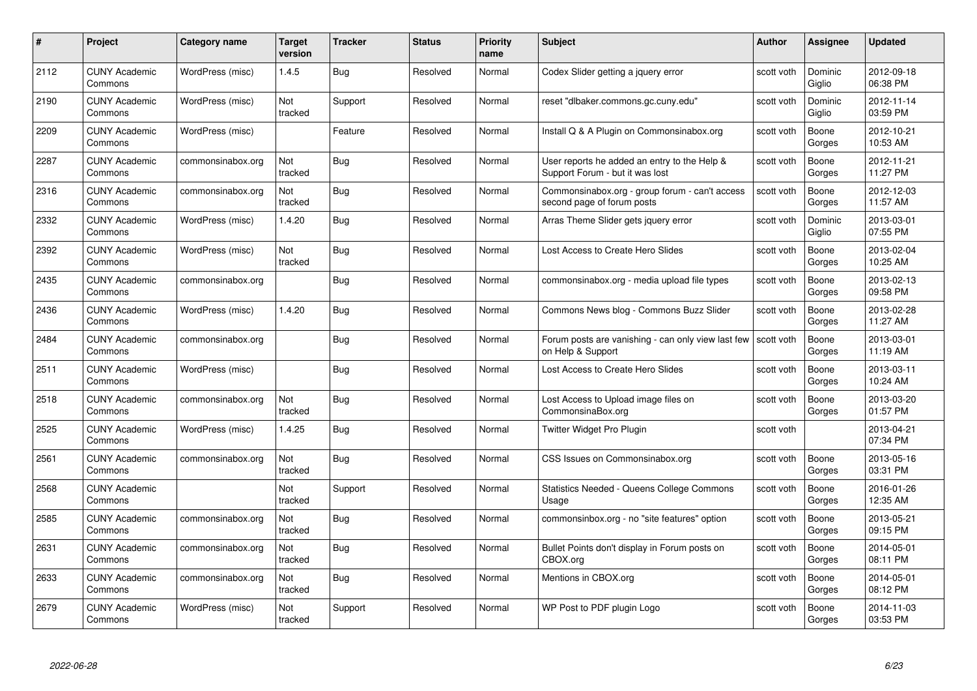| #    | Project                         | Category name     | Target<br>version | <b>Tracker</b> | <b>Status</b> | <b>Priority</b><br>name | <b>Subject</b>                                                                  | Author     | <b>Assignee</b>   | <b>Updated</b>         |
|------|---------------------------------|-------------------|-------------------|----------------|---------------|-------------------------|---------------------------------------------------------------------------------|------------|-------------------|------------------------|
| 2112 | <b>CUNY Academic</b><br>Commons | WordPress (misc)  | 1.4.5             | Bug            | Resolved      | Normal                  | Codex Slider getting a jquery error                                             | scott voth | Dominic<br>Giglio | 2012-09-18<br>06:38 PM |
| 2190 | <b>CUNY Academic</b><br>Commons | WordPress (misc)  | Not<br>tracked    | Support        | Resolved      | Normal                  | reset "dlbaker.commons.gc.cuny.edu"                                             | scott voth | Dominic<br>Giglio | 2012-11-14<br>03:59 PM |
| 2209 | <b>CUNY Academic</b><br>Commons | WordPress (misc)  |                   | Feature        | Resolved      | Normal                  | Install Q & A Plugin on Commonsinabox.org                                       | scott voth | Boone<br>Gorges   | 2012-10-21<br>10:53 AM |
| 2287 | <b>CUNY Academic</b><br>Commons | commonsinabox.org | Not<br>tracked    | Bug            | Resolved      | Normal                  | User reports he added an entry to the Help &<br>Support Forum - but it was lost | scott voth | Boone<br>Gorges   | 2012-11-21<br>11:27 PM |
| 2316 | <b>CUNY Academic</b><br>Commons | commonsinabox.org | Not<br>tracked    | <b>Bug</b>     | Resolved      | Normal                  | Commonsinabox.org - group forum - can't access<br>second page of forum posts    | scott voth | Boone<br>Gorges   | 2012-12-03<br>11:57 AM |
| 2332 | <b>CUNY Academic</b><br>Commons | WordPress (misc)  | 1.4.20            | Bug            | Resolved      | Normal                  | Arras Theme Slider gets jquery error                                            | scott voth | Dominic<br>Giglio | 2013-03-01<br>07:55 PM |
| 2392 | <b>CUNY Academic</b><br>Commons | WordPress (misc)  | Not<br>tracked    | Bug            | Resolved      | Normal                  | Lost Access to Create Hero Slides                                               | scott voth | Boone<br>Gorges   | 2013-02-04<br>10:25 AM |
| 2435 | <b>CUNY Academic</b><br>Commons | commonsinabox.org |                   | Bug            | Resolved      | Normal                  | commonsinabox.org - media upload file types                                     | scott voth | Boone<br>Gorges   | 2013-02-13<br>09:58 PM |
| 2436 | <b>CUNY Academic</b><br>Commons | WordPress (misc)  | 1.4.20            | <b>Bug</b>     | Resolved      | Normal                  | Commons News blog - Commons Buzz Slider                                         | scott voth | Boone<br>Gorges   | 2013-02-28<br>11:27 AM |
| 2484 | <b>CUNY Academic</b><br>Commons | commonsinabox.org |                   | <b>Bug</b>     | Resolved      | Normal                  | Forum posts are vanishing - can only view last few<br>on Help & Support         | scott voth | Boone<br>Gorges   | 2013-03-01<br>11:19 AM |
| 2511 | <b>CUNY Academic</b><br>Commons | WordPress (misc)  |                   | Bug            | Resolved      | Normal                  | Lost Access to Create Hero Slides                                               | scott voth | Boone<br>Gorges   | 2013-03-11<br>10:24 AM |
| 2518 | <b>CUNY Academic</b><br>Commons | commonsinabox.org | Not<br>tracked    | <b>Bug</b>     | Resolved      | Normal                  | Lost Access to Upload image files on<br>CommonsinaBox.org                       | scott voth | Boone<br>Gorges   | 2013-03-20<br>01:57 PM |
| 2525 | <b>CUNY Academic</b><br>Commons | WordPress (misc)  | 1.4.25            | <b>Bug</b>     | Resolved      | Normal                  | Twitter Widget Pro Plugin                                                       | scott voth |                   | 2013-04-21<br>07:34 PM |
| 2561 | <b>CUNY Academic</b><br>Commons | commonsinabox.org | Not<br>tracked    | Bug            | Resolved      | Normal                  | CSS Issues on Commonsinabox.org                                                 | scott voth | Boone<br>Gorges   | 2013-05-16<br>03:31 PM |
| 2568 | <b>CUNY Academic</b><br>Commons |                   | Not<br>tracked    | Support        | Resolved      | Normal                  | <b>Statistics Needed - Queens College Commons</b><br>Usage                      | scott voth | Boone<br>Gorges   | 2016-01-26<br>12:35 AM |
| 2585 | <b>CUNY Academic</b><br>Commons | commonsinabox.org | Not<br>tracked    | <b>Bug</b>     | Resolved      | Normal                  | commonsinbox.org - no "site features" option                                    | scott voth | Boone<br>Gorges   | 2013-05-21<br>09:15 PM |
| 2631 | <b>CUNY Academic</b><br>Commons | commonsinabox.org | Not<br>tracked    | Bug            | Resolved      | Normal                  | Bullet Points don't display in Forum posts on<br>CBOX.org                       | scott voth | Boone<br>Gorges   | 2014-05-01<br>08:11 PM |
| 2633 | <b>CUNY Academic</b><br>Commons | commonsinabox.org | Not<br>tracked    | <b>Bug</b>     | Resolved      | Normal                  | Mentions in CBOX.org                                                            | scott voth | Boone<br>Gorges   | 2014-05-01<br>08:12 PM |
| 2679 | <b>CUNY Academic</b><br>Commons | WordPress (misc)  | Not<br>tracked    | Support        | Resolved      | Normal                  | WP Post to PDF plugin Logo                                                      | scott voth | Boone<br>Gorges   | 2014-11-03<br>03:53 PM |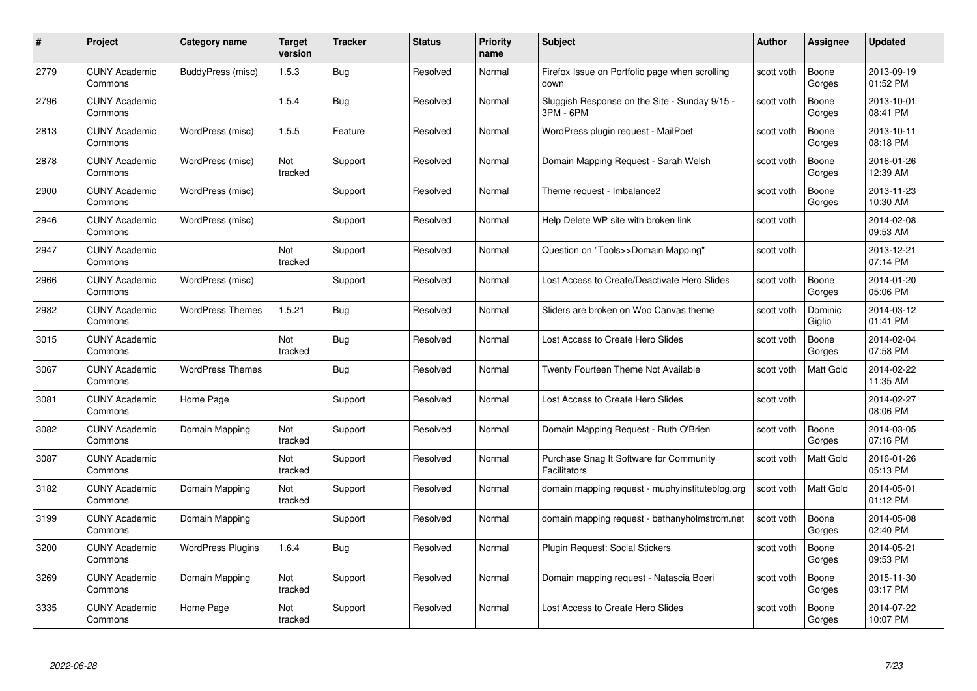| #    | Project                         | Category name            | Target<br>version | <b>Tracker</b> | <b>Status</b> | <b>Priority</b><br>name | <b>Subject</b>                                                 | Author     | Assignee          | <b>Updated</b>         |
|------|---------------------------------|--------------------------|-------------------|----------------|---------------|-------------------------|----------------------------------------------------------------|------------|-------------------|------------------------|
| 2779 | <b>CUNY Academic</b><br>Commons | BuddyPress (misc)        | 1.5.3             | Bug            | Resolved      | Normal                  | Firefox Issue on Portfolio page when scrolling<br>down         | scott voth | Boone<br>Gorges   | 2013-09-19<br>01:52 PM |
| 2796 | <b>CUNY Academic</b><br>Commons |                          | 1.5.4             | Bug            | Resolved      | Normal                  | Sluggish Response on the Site - Sunday 9/15 -<br>3PM - 6PM     | scott voth | Boone<br>Gorges   | 2013-10-01<br>08:41 PM |
| 2813 | <b>CUNY Academic</b><br>Commons | WordPress (misc)         | 1.5.5             | Feature        | Resolved      | Normal                  | WordPress plugin request - MailPoet                            | scott voth | Boone<br>Gorges   | 2013-10-11<br>08:18 PM |
| 2878 | <b>CUNY Academic</b><br>Commons | WordPress (misc)         | Not<br>tracked    | Support        | Resolved      | Normal                  | Domain Mapping Request - Sarah Welsh                           | scott voth | Boone<br>Gorges   | 2016-01-26<br>12:39 AM |
| 2900 | <b>CUNY Academic</b><br>Commons | WordPress (misc)         |                   | Support        | Resolved      | Normal                  | Theme request - Imbalance2                                     | scott voth | Boone<br>Gorges   | 2013-11-23<br>10:30 AM |
| 2946 | <b>CUNY Academic</b><br>Commons | WordPress (misc)         |                   | Support        | Resolved      | Normal                  | Help Delete WP site with broken link                           | scott voth |                   | 2014-02-08<br>09:53 AM |
| 2947 | <b>CUNY Academic</b><br>Commons |                          | Not<br>tracked    | Support        | Resolved      | Normal                  | Question on "Tools>>Domain Mapping"                            | scott voth |                   | 2013-12-21<br>07:14 PM |
| 2966 | <b>CUNY Academic</b><br>Commons | WordPress (misc)         |                   | Support        | Resolved      | Normal                  | Lost Access to Create/Deactivate Hero Slides                   | scott voth | Boone<br>Gorges   | 2014-01-20<br>05:06 PM |
| 2982 | <b>CUNY Academic</b><br>Commons | <b>WordPress Themes</b>  | 1.5.21            | <b>Bug</b>     | Resolved      | Normal                  | Sliders are broken on Woo Canvas theme                         | scott voth | Dominic<br>Giglio | 2014-03-12<br>01:41 PM |
| 3015 | <b>CUNY Academic</b><br>Commons |                          | Not<br>tracked    | Bug            | Resolved      | Normal                  | Lost Access to Create Hero Slides                              | scott voth | Boone<br>Gorges   | 2014-02-04<br>07:58 PM |
| 3067 | CUNY Academic<br>Commons        | <b>WordPress Themes</b>  |                   | Bug            | Resolved      | Normal                  | Twenty Fourteen Theme Not Available                            | scott voth | Matt Gold         | 2014-02-22<br>11:35 AM |
| 3081 | <b>CUNY Academic</b><br>Commons | Home Page                |                   | Support        | Resolved      | Normal                  | Lost Access to Create Hero Slides                              | scott voth |                   | 2014-02-27<br>08:06 PM |
| 3082 | <b>CUNY Academic</b><br>Commons | Domain Mapping           | Not<br>tracked    | Support        | Resolved      | Normal                  | Domain Mapping Request - Ruth O'Brien                          | scott voth | Boone<br>Gorges   | 2014-03-05<br>07:16 PM |
| 3087 | <b>CUNY Academic</b><br>Commons |                          | Not<br>tracked    | Support        | Resolved      | Normal                  | Purchase Snag It Software for Community<br><b>Facilitators</b> | scott voth | Matt Gold         | 2016-01-26<br>05:13 PM |
| 3182 | <b>CUNY Academic</b><br>Commons | Domain Mapping           | Not<br>tracked    | Support        | Resolved      | Normal                  | domain mapping request - muphyinstituteblog.org                | scott voth | Matt Gold         | 2014-05-01<br>01:12 PM |
| 3199 | <b>CUNY Academic</b><br>Commons | Domain Mapping           |                   | Support        | Resolved      | Normal                  | domain mapping request - bethanyholmstrom.net                  | scott voth | Boone<br>Gorges   | 2014-05-08<br>02:40 PM |
| 3200 | <b>CUNY Academic</b><br>Commons | <b>WordPress Plugins</b> | 1.6.4             | Bug            | Resolved      | Normal                  | Plugin Request: Social Stickers                                | scott voth | Boone<br>Gorges   | 2014-05-21<br>09:53 PM |
| 3269 | <b>CUNY Academic</b><br>Commons | Domain Mapping           | Not<br>tracked    | Support        | Resolved      | Normal                  | Domain mapping request - Natascia Boeri                        | scott voth | Boone<br>Gorges   | 2015-11-30<br>03:17 PM |
| 3335 | CUNY Academic<br>Commons        | Home Page                | Not<br>tracked    | Support        | Resolved      | Normal                  | Lost Access to Create Hero Slides                              | scott voth | Boone<br>Gorges   | 2014-07-22<br>10:07 PM |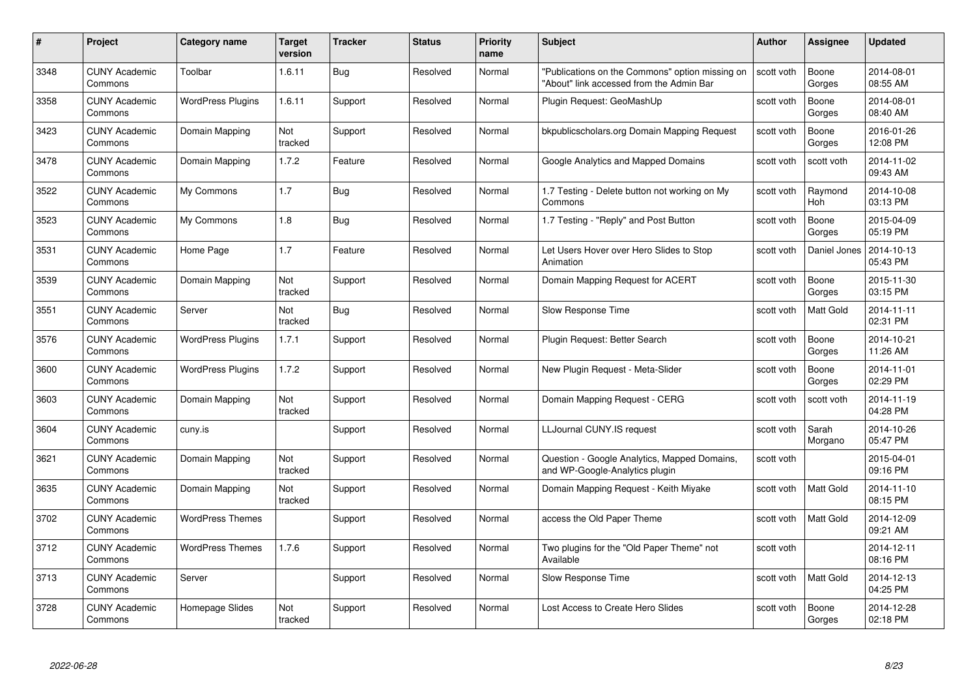| #    | Project                         | <b>Category name</b>     | Target<br>version | <b>Tracker</b> | <b>Status</b> | <b>Priority</b><br>name | <b>Subject</b>                                                                              | <b>Author</b> | Assignee         | <b>Updated</b>         |
|------|---------------------------------|--------------------------|-------------------|----------------|---------------|-------------------------|---------------------------------------------------------------------------------------------|---------------|------------------|------------------------|
| 3348 | <b>CUNY Academic</b><br>Commons | Toolbar                  | 1.6.11            | <b>Bug</b>     | Resolved      | Normal                  | "Publications on the Commons" option missing on<br>"About" link accessed from the Admin Bar | scott voth    | Boone<br>Gorges  | 2014-08-01<br>08:55 AM |
| 3358 | <b>CUNY Academic</b><br>Commons | <b>WordPress Plugins</b> | 1.6.11            | Support        | Resolved      | Normal                  | Plugin Request: GeoMashUp                                                                   | scott voth    | Boone<br>Gorges  | 2014-08-01<br>08:40 AM |
| 3423 | <b>CUNY Academic</b><br>Commons | Domain Mapping           | Not<br>tracked    | Support        | Resolved      | Normal                  | bkpublicscholars.org Domain Mapping Request                                                 | scott voth    | Boone<br>Gorges  | 2016-01-26<br>12:08 PM |
| 3478 | <b>CUNY Academic</b><br>Commons | Domain Mapping           | 1.7.2             | Feature        | Resolved      | Normal                  | Google Analytics and Mapped Domains                                                         | scott voth    | scott voth       | 2014-11-02<br>09:43 AM |
| 3522 | <b>CUNY Academic</b><br>Commons | My Commons               | 1.7               | Bug            | Resolved      | Normal                  | 1.7 Testing - Delete button not working on My<br>Commons                                    | scott voth    | Raymond<br>Hoh   | 2014-10-08<br>03:13 PM |
| 3523 | <b>CUNY Academic</b><br>Commons | My Commons               | 1.8               | Bug            | Resolved      | Normal                  | 1.7 Testing - "Reply" and Post Button                                                       | scott voth    | Boone<br>Gorges  | 2015-04-09<br>05:19 PM |
| 3531 | <b>CUNY Academic</b><br>Commons | Home Page                | 1.7               | Feature        | Resolved      | Normal                  | Let Users Hover over Hero Slides to Stop<br>Animation                                       | scott voth    | Daniel Jones     | 2014-10-13<br>05:43 PM |
| 3539 | <b>CUNY Academic</b><br>Commons | Domain Mapping           | Not<br>tracked    | Support        | Resolved      | Normal                  | Domain Mapping Request for ACERT                                                            | scott voth    | Boone<br>Gorges  | 2015-11-30<br>03:15 PM |
| 3551 | <b>CUNY Academic</b><br>Commons | Server                   | Not<br>tracked    | <b>Bug</b>     | Resolved      | Normal                  | Slow Response Time                                                                          | scott voth    | <b>Matt Gold</b> | 2014-11-11<br>02:31 PM |
| 3576 | <b>CUNY Academic</b><br>Commons | <b>WordPress Plugins</b> | 1.7.1             | Support        | Resolved      | Normal                  | Plugin Request: Better Search                                                               | scott voth    | Boone<br>Gorges  | 2014-10-21<br>11:26 AM |
| 3600 | <b>CUNY Academic</b><br>Commons | <b>WordPress Plugins</b> | 1.7.2             | Support        | Resolved      | Normal                  | New Plugin Request - Meta-Slider                                                            | scott voth    | Boone<br>Gorges  | 2014-11-01<br>02:29 PM |
| 3603 | <b>CUNY Academic</b><br>Commons | Domain Mapping           | Not<br>tracked    | Support        | Resolved      | Normal                  | Domain Mapping Request - CERG                                                               | scott voth    | scott voth       | 2014-11-19<br>04:28 PM |
| 3604 | <b>CUNY Academic</b><br>Commons | cuny.is                  |                   | Support        | Resolved      | Normal                  | LLJournal CUNY.IS request                                                                   | scott voth    | Sarah<br>Morgano | 2014-10-26<br>05:47 PM |
| 3621 | <b>CUNY Academic</b><br>Commons | Domain Mapping           | Not<br>tracked    | Support        | Resolved      | Normal                  | Question - Google Analytics, Mapped Domains,<br>and WP-Google-Analytics plugin              | scott voth    |                  | 2015-04-01<br>09:16 PM |
| 3635 | CUNY Academic<br>Commons        | Domain Mapping           | Not<br>tracked    | Support        | Resolved      | Normal                  | Domain Mapping Request - Keith Miyake                                                       | scott voth    | Matt Gold        | 2014-11-10<br>08:15 PM |
| 3702 | <b>CUNY Academic</b><br>Commons | <b>WordPress Themes</b>  |                   | Support        | Resolved      | Normal                  | access the Old Paper Theme                                                                  | scott voth    | Matt Gold        | 2014-12-09<br>09:21 AM |
| 3712 | <b>CUNY Academic</b><br>Commons | <b>WordPress Themes</b>  | 1.7.6             | Support        | Resolved      | Normal                  | Two plugins for the "Old Paper Theme" not<br>Available                                      | scott voth    |                  | 2014-12-11<br>08:16 PM |
| 3713 | <b>CUNY Academic</b><br>Commons | Server                   |                   | Support        | Resolved      | Normal                  | Slow Response Time                                                                          | scott voth    | Matt Gold        | 2014-12-13<br>04:25 PM |
| 3728 | CUNY Academic<br>Commons        | Homepage Slides          | Not<br>tracked    | Support        | Resolved      | Normal                  | Lost Access to Create Hero Slides                                                           | scott voth    | Boone<br>Gorges  | 2014-12-28<br>02:18 PM |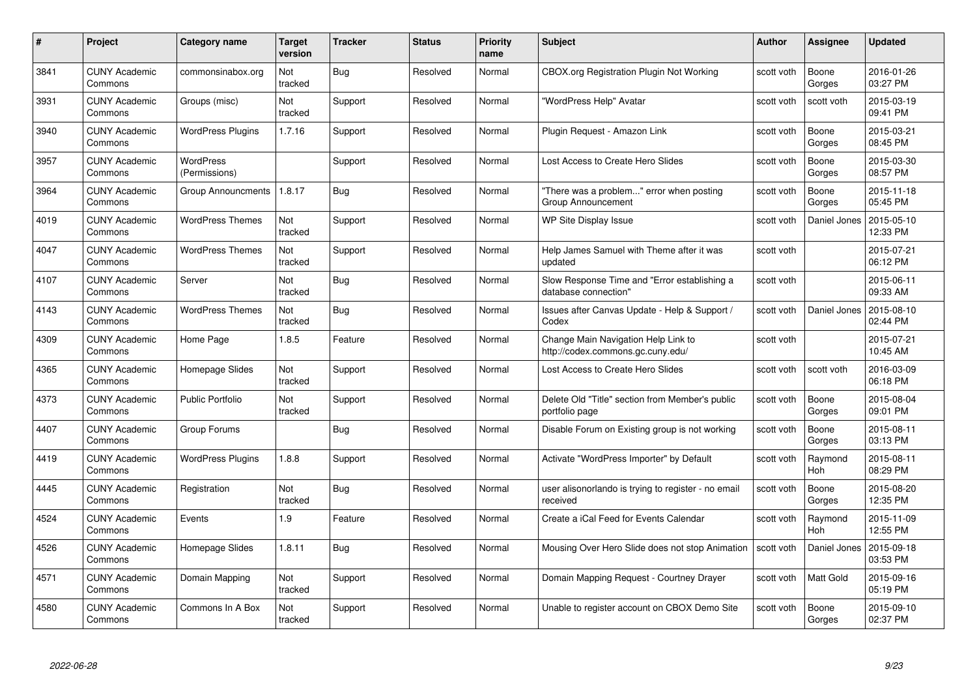| #    | Project                         | <b>Category name</b>       | Target<br>version | <b>Tracker</b> | <b>Status</b> | <b>Priority</b><br>name | <b>Subject</b>                                                           | <b>Author</b> | <b>Assignee</b>       | <b>Updated</b>         |
|------|---------------------------------|----------------------------|-------------------|----------------|---------------|-------------------------|--------------------------------------------------------------------------|---------------|-----------------------|------------------------|
| 3841 | <b>CUNY Academic</b><br>Commons | commonsinabox.org          | Not<br>tracked    | Bug            | Resolved      | Normal                  | CBOX.org Registration Plugin Not Working                                 | scott voth    | Boone<br>Gorges       | 2016-01-26<br>03:27 PM |
| 3931 | <b>CUNY Academic</b><br>Commons | Groups (misc)              | Not<br>tracked    | Support        | Resolved      | Normal                  | "WordPress Help" Avatar                                                  | scott voth    | scott voth            | 2015-03-19<br>09:41 PM |
| 3940 | <b>CUNY Academic</b><br>Commons | <b>WordPress Plugins</b>   | 1.7.16            | Support        | Resolved      | Normal                  | Plugin Request - Amazon Link                                             | scott voth    | Boone<br>Gorges       | 2015-03-21<br>08:45 PM |
| 3957 | <b>CUNY Academic</b><br>Commons | WordPress<br>(Permissions) |                   | Support        | Resolved      | Normal                  | Lost Access to Create Hero Slides                                        | scott voth    | Boone<br>Gorges       | 2015-03-30<br>08:57 PM |
| 3964 | CUNY Academic<br>Commons        | <b>Group Announcments</b>  | 1.8.17            | <b>Bug</b>     | Resolved      | Normal                  | "There was a problem" error when posting<br>Group Announcement           | scott voth    | Boone<br>Gorges       | 2015-11-18<br>05:45 PM |
| 4019 | <b>CUNY Academic</b><br>Commons | <b>WordPress Themes</b>    | Not<br>tracked    | Support        | Resolved      | Normal                  | WP Site Display Issue                                                    | scott voth    | Daniel Jones          | 2015-05-10<br>12:33 PM |
| 4047 | <b>CUNY Academic</b><br>Commons | <b>WordPress Themes</b>    | Not<br>tracked    | Support        | Resolved      | Normal                  | Help James Samuel with Theme after it was<br>updated                     | scott voth    |                       | 2015-07-21<br>06:12 PM |
| 4107 | <b>CUNY Academic</b><br>Commons | Server                     | Not<br>tracked    | <b>Bug</b>     | Resolved      | Normal                  | Slow Response Time and "Error establishing a<br>database connection"     | scott voth    |                       | 2015-06-11<br>09:33 AM |
| 4143 | <b>CUNY Academic</b><br>Commons | <b>WordPress Themes</b>    | Not<br>tracked    | <b>Bug</b>     | Resolved      | Normal                  | Issues after Canvas Update - Help & Support /<br>Codex                   | scott voth    | Daniel Jones          | 2015-08-10<br>02:44 PM |
| 4309 | <b>CUNY Academic</b><br>Commons | Home Page                  | 1.8.5             | Feature        | Resolved      | Normal                  | Change Main Navigation Help Link to<br>http://codex.commons.gc.cuny.edu/ | scott voth    |                       | 2015-07-21<br>10:45 AM |
| 4365 | CUNY Academic<br>Commons        | Homepage Slides            | Not<br>tracked    | Support        | Resolved      | Normal                  | Lost Access to Create Hero Slides                                        | scott voth    | scott voth            | 2016-03-09<br>06:18 PM |
| 4373 | <b>CUNY Academic</b><br>Commons | <b>Public Portfolio</b>    | Not<br>tracked    | Support        | Resolved      | Normal                  | Delete Old "Title" section from Member's public<br>portfolio page        | scott voth    | Boone<br>Gorges       | 2015-08-04<br>09:01 PM |
| 4407 | <b>CUNY Academic</b><br>Commons | Group Forums               |                   | Bug            | Resolved      | Normal                  | Disable Forum on Existing group is not working                           | scott voth    | Boone<br>Gorges       | 2015-08-11<br>03:13 PM |
| 4419 | <b>CUNY Academic</b><br>Commons | <b>WordPress Plugins</b>   | 1.8.8             | Support        | Resolved      | Normal                  | Activate "WordPress Importer" by Default                                 | scott voth    | Raymond<br>Hoh        | 2015-08-11<br>08:29 PM |
| 4445 | <b>CUNY Academic</b><br>Commons | Registration               | Not<br>tracked    | Bug            | Resolved      | Normal                  | user alisonorlando is trying to register - no email<br>received          | scott voth    | Boone<br>Gorges       | 2015-08-20<br>12:35 PM |
| 4524 | <b>CUNY Academic</b><br>Commons | Events                     | 1.9               | Feature        | Resolved      | Normal                  | Create a iCal Feed for Events Calendar                                   | scott voth    | Raymond<br><b>Hoh</b> | 2015-11-09<br>12:55 PM |
| 4526 | <b>CUNY Academic</b><br>Commons | Homepage Slides            | 1.8.11            | <b>Bug</b>     | Resolved      | Normal                  | Mousing Over Hero Slide does not stop Animation                          | scott voth    | Daniel Jones          | 2015-09-18<br>03:53 PM |
| 4571 | <b>CUNY Academic</b><br>Commons | Domain Mapping             | Not<br>tracked    | Support        | Resolved      | Normal                  | Domain Mapping Request - Courtney Drayer                                 | scott voth    | Matt Gold             | 2015-09-16<br>05:19 PM |
| 4580 | CUNY Academic<br>Commons        | Commons In A Box           | Not<br>tracked    | Support        | Resolved      | Normal                  | Unable to register account on CBOX Demo Site                             | scott voth    | Boone<br>Gorges       | 2015-09-10<br>02:37 PM |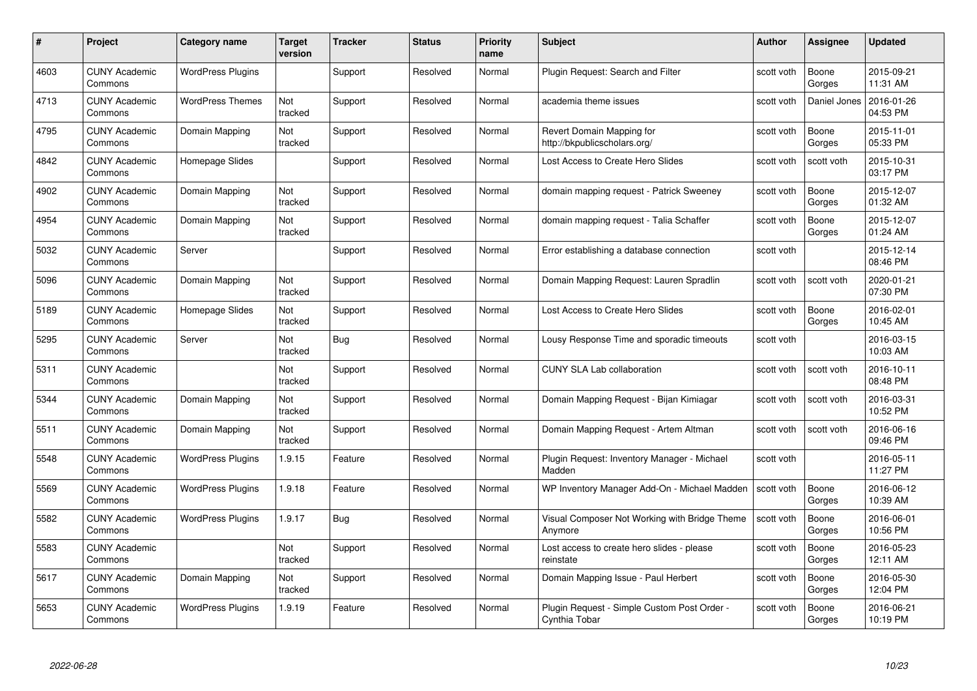| #    | Project                         | Category name            | Target<br>version | <b>Tracker</b> | <b>Status</b> | <b>Priority</b><br>name | <b>Subject</b>                                               | <b>Author</b> | <b>Assignee</b> | <b>Updated</b>         |
|------|---------------------------------|--------------------------|-------------------|----------------|---------------|-------------------------|--------------------------------------------------------------|---------------|-----------------|------------------------|
| 4603 | <b>CUNY Academic</b><br>Commons | <b>WordPress Plugins</b> |                   | Support        | Resolved      | Normal                  | Plugin Reguest: Search and Filter                            | scott voth    | Boone<br>Gorges | 2015-09-21<br>11:31 AM |
| 4713 | <b>CUNY Academic</b><br>Commons | <b>WordPress Themes</b>  | Not<br>tracked    | Support        | Resolved      | Normal                  | academia theme issues                                        | scott voth    | Daniel Jones    | 2016-01-26<br>04:53 PM |
| 4795 | <b>CUNY Academic</b><br>Commons | Domain Mapping           | Not<br>tracked    | Support        | Resolved      | Normal                  | Revert Domain Mapping for<br>http://bkpublicscholars.org/    | scott voth    | Boone<br>Gorges | 2015-11-01<br>05:33 PM |
| 4842 | <b>CUNY Academic</b><br>Commons | Homepage Slides          |                   | Support        | Resolved      | Normal                  | Lost Access to Create Hero Slides                            | scott voth    | scott voth      | 2015-10-31<br>03:17 PM |
| 4902 | <b>CUNY Academic</b><br>Commons | Domain Mapping           | Not<br>tracked    | Support        | Resolved      | Normal                  | domain mapping request - Patrick Sweeney                     | scott voth    | Boone<br>Gorges | 2015-12-07<br>01:32 AM |
| 4954 | <b>CUNY Academic</b><br>Commons | Domain Mapping           | Not<br>tracked    | Support        | Resolved      | Normal                  | domain mapping request - Talia Schaffer                      | scott voth    | Boone<br>Gorges | 2015-12-07<br>01:24 AM |
| 5032 | <b>CUNY Academic</b><br>Commons | Server                   |                   | Support        | Resolved      | Normal                  | Error establishing a database connection                     | scott voth    |                 | 2015-12-14<br>08:46 PM |
| 5096 | <b>CUNY Academic</b><br>Commons | Domain Mapping           | Not<br>tracked    | Support        | Resolved      | Normal                  | Domain Mapping Request: Lauren Spradlin                      | scott voth    | scott voth      | 2020-01-21<br>07:30 PM |
| 5189 | <b>CUNY Academic</b><br>Commons | Homepage Slides          | Not<br>tracked    | Support        | Resolved      | Normal                  | Lost Access to Create Hero Slides                            | scott voth    | Boone<br>Gorges | 2016-02-01<br>10:45 AM |
| 5295 | <b>CUNY Academic</b><br>Commons | Server                   | Not<br>tracked    | <b>Bug</b>     | Resolved      | Normal                  | Lousy Response Time and sporadic timeouts                    | scott voth    |                 | 2016-03-15<br>10:03 AM |
| 5311 | <b>CUNY Academic</b><br>Commons |                          | Not<br>tracked    | Support        | Resolved      | Normal                  | <b>CUNY SLA Lab collaboration</b>                            | scott voth    | scott voth      | 2016-10-11<br>08:48 PM |
| 5344 | <b>CUNY Academic</b><br>Commons | Domain Mapping           | Not<br>tracked    | Support        | Resolved      | Normal                  | Domain Mapping Request - Bijan Kimiagar                      | scott voth    | scott voth      | 2016-03-31<br>10:52 PM |
| 5511 | <b>CUNY Academic</b><br>Commons | Domain Mapping           | Not<br>tracked    | Support        | Resolved      | Normal                  | Domain Mapping Request - Artem Altman                        | scott voth    | scott voth      | 2016-06-16<br>09:46 PM |
| 5548 | <b>CUNY Academic</b><br>Commons | <b>WordPress Plugins</b> | 1.9.15            | Feature        | Resolved      | Normal                  | Plugin Request: Inventory Manager - Michael<br>Madden        | scott voth    |                 | 2016-05-11<br>11:27 PM |
| 5569 | <b>CUNY Academic</b><br>Commons | <b>WordPress Plugins</b> | 1.9.18            | Feature        | Resolved      | Normal                  | WP Inventory Manager Add-On - Michael Madden                 | scott voth    | Boone<br>Gorges | 2016-06-12<br>10:39 AM |
| 5582 | <b>CUNY Academic</b><br>Commons | <b>WordPress Plugins</b> | 1.9.17            | <b>Bug</b>     | Resolved      | Normal                  | Visual Composer Not Working with Bridge Theme<br>Anymore     | scott voth    | Boone<br>Gorges | 2016-06-01<br>10:56 PM |
| 5583 | <b>CUNY Academic</b><br>Commons |                          | Not<br>tracked    | Support        | Resolved      | Normal                  | Lost access to create hero slides - please<br>reinstate      | scott voth    | Boone<br>Gorges | 2016-05-23<br>12:11 AM |
| 5617 | <b>CUNY Academic</b><br>Commons | Domain Mapping           | Not<br>tracked    | Support        | Resolved      | Normal                  | Domain Mapping Issue - Paul Herbert                          | scott voth    | Boone<br>Gorges | 2016-05-30<br>12:04 PM |
| 5653 | CUNY Academic<br>Commons        | <b>WordPress Plugins</b> | 1.9.19            | Feature        | Resolved      | Normal                  | Plugin Request - Simple Custom Post Order -<br>Cynthia Tobar | scott voth    | Boone<br>Gorges | 2016-06-21<br>10:19 PM |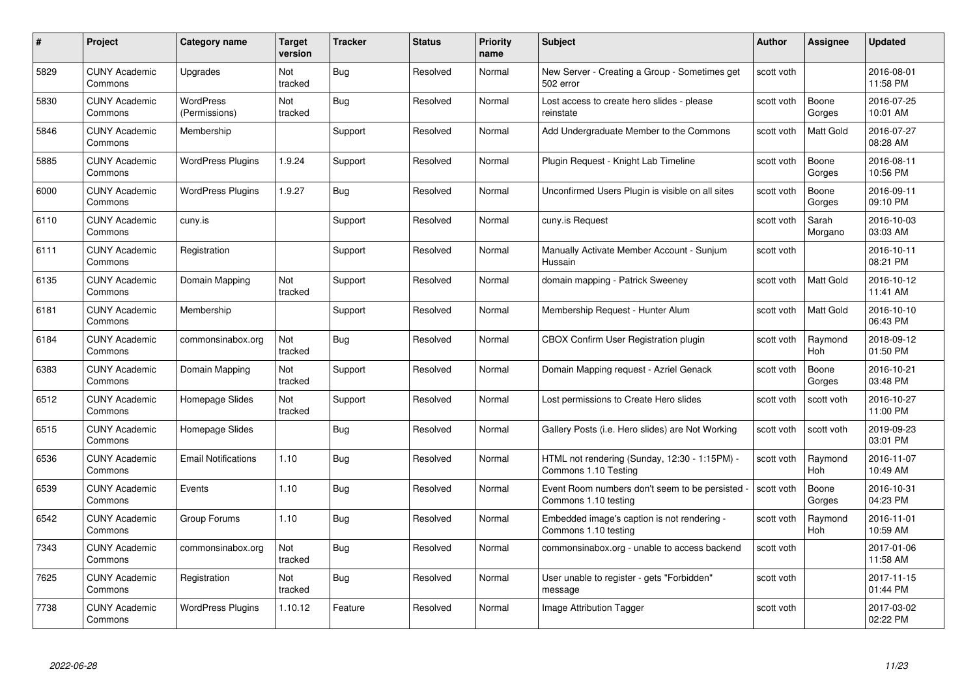| #    | Project                         | Category name                     | Target<br>version | <b>Tracker</b> | <b>Status</b> | <b>Priority</b><br>name | <b>Subject</b>                                                        | <b>Author</b> | <b>Assignee</b>       | <b>Updated</b>         |
|------|---------------------------------|-----------------------------------|-------------------|----------------|---------------|-------------------------|-----------------------------------------------------------------------|---------------|-----------------------|------------------------|
| 5829 | <b>CUNY Academic</b><br>Commons | Upgrades                          | Not<br>tracked    | Bug            | Resolved      | Normal                  | New Server - Creating a Group - Sometimes get<br>502 error            | scott voth    |                       | 2016-08-01<br>11:58 PM |
| 5830 | <b>CUNY Academic</b><br>Commons | <b>WordPress</b><br>(Permissions) | Not<br>tracked    | Bug            | Resolved      | Normal                  | Lost access to create hero slides - please<br>reinstate               | scott voth    | Boone<br>Gorges       | 2016-07-25<br>10:01 AM |
| 5846 | <b>CUNY Academic</b><br>Commons | Membership                        |                   | Support        | Resolved      | Normal                  | Add Undergraduate Member to the Commons                               | scott voth    | Matt Gold             | 2016-07-27<br>08:28 AM |
| 5885 | <b>CUNY Academic</b><br>Commons | <b>WordPress Plugins</b>          | 1.9.24            | Support        | Resolved      | Normal                  | Plugin Request - Knight Lab Timeline                                  | scott voth    | Boone<br>Gorges       | 2016-08-11<br>10:56 PM |
| 6000 | <b>CUNY Academic</b><br>Commons | <b>WordPress Plugins</b>          | 1.9.27            | Bug            | Resolved      | Normal                  | Unconfirmed Users Plugin is visible on all sites                      | scott voth    | Boone<br>Gorges       | 2016-09-11<br>09:10 PM |
| 6110 | <b>CUNY Academic</b><br>Commons | cuny.is                           |                   | Support        | Resolved      | Normal                  | cuny.is Request                                                       | scott voth    | Sarah<br>Morgano      | 2016-10-03<br>03:03 AM |
| 6111 | <b>CUNY Academic</b><br>Commons | Registration                      |                   | Support        | Resolved      | Normal                  | Manually Activate Member Account - Sunjum<br>Hussain                  | scott voth    |                       | 2016-10-11<br>08:21 PM |
| 6135 | <b>CUNY Academic</b><br>Commons | Domain Mapping                    | Not<br>tracked    | Support        | Resolved      | Normal                  | domain mapping - Patrick Sweeney                                      | scott voth    | Matt Gold             | 2016-10-12<br>11:41 AM |
| 6181 | <b>CUNY Academic</b><br>Commons | Membership                        |                   | Support        | Resolved      | Normal                  | Membership Request - Hunter Alum                                      | scott voth    | Matt Gold             | 2016-10-10<br>06:43 PM |
| 6184 | <b>CUNY Academic</b><br>Commons | commonsinabox.org                 | Not<br>tracked    | <b>Bug</b>     | Resolved      | Normal                  | <b>CBOX Confirm User Registration plugin</b>                          | scott voth    | Raymond<br><b>Hoh</b> | 2018-09-12<br>01:50 PM |
| 6383 | <b>CUNY Academic</b><br>Commons | Domain Mapping                    | Not<br>tracked    | Support        | Resolved      | Normal                  | Domain Mapping request - Azriel Genack                                | scott voth    | Boone<br>Gorges       | 2016-10-21<br>03:48 PM |
| 6512 | <b>CUNY Academic</b><br>Commons | Homepage Slides                   | Not<br>tracked    | Support        | Resolved      | Normal                  | Lost permissions to Create Hero slides                                | scott voth    | scott voth            | 2016-10-27<br>11:00 PM |
| 6515 | <b>CUNY Academic</b><br>Commons | Homepage Slides                   |                   | <b>Bug</b>     | Resolved      | Normal                  | Gallery Posts (i.e. Hero slides) are Not Working                      | scott voth    | scott voth            | 2019-09-23<br>03:01 PM |
| 6536 | <b>CUNY Academic</b><br>Commons | <b>Email Notifications</b>        | 1.10              | Bug            | Resolved      | Normal                  | HTML not rendering (Sunday, 12:30 - 1:15PM) -<br>Commons 1.10 Testing | scott voth    | Raymond<br><b>Hoh</b> | 2016-11-07<br>10:49 AM |
| 6539 | <b>CUNY Academic</b><br>Commons | Events                            | 1.10              | Bug            | Resolved      | Normal                  | Event Room numbers don't seem to be persisted<br>Commons 1.10 testing | scott voth    | Boone<br>Gorges       | 2016-10-31<br>04:23 PM |
| 6542 | <b>CUNY Academic</b><br>Commons | Group Forums                      | 1.10              | <b>Bug</b>     | Resolved      | Normal                  | Embedded image's caption is not rendering -<br>Commons 1.10 testing   | scott voth    | Raymond<br><b>Hoh</b> | 2016-11-01<br>10:59 AM |
| 7343 | <b>CUNY Academic</b><br>Commons | commonsinabox.org                 | Not<br>tracked    | Bug            | Resolved      | Normal                  | commonsinabox.org - unable to access backend                          | scott voth    |                       | 2017-01-06<br>11:58 AM |
| 7625 | <b>CUNY Academic</b><br>Commons | Registration                      | Not<br>tracked    | <b>Bug</b>     | Resolved      | Normal                  | User unable to register - gets "Forbidden"<br>message                 | scott voth    |                       | 2017-11-15<br>01:44 PM |
| 7738 | CUNY Academic<br>Commons        | <b>WordPress Plugins</b>          | 1.10.12           | Feature        | Resolved      | Normal                  | Image Attribution Tagger                                              | scott voth    |                       | 2017-03-02<br>02:22 PM |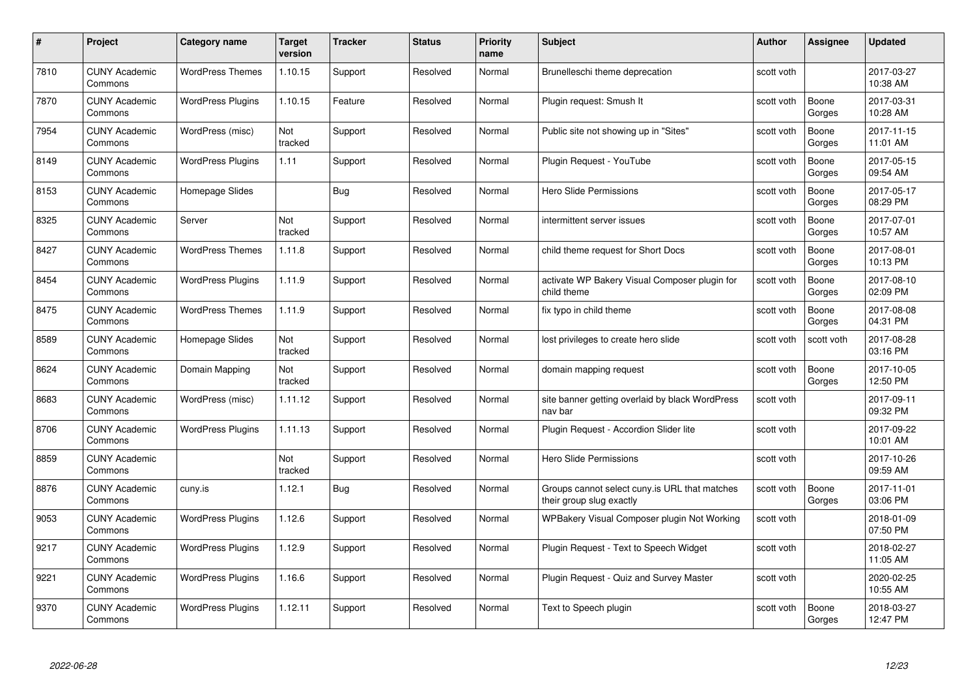| #    | Project                         | Category name            | Target<br>version | <b>Tracker</b> | <b>Status</b> | <b>Priority</b><br>name | <b>Subject</b>                                                            | Author     | Assignee        | <b>Updated</b>         |
|------|---------------------------------|--------------------------|-------------------|----------------|---------------|-------------------------|---------------------------------------------------------------------------|------------|-----------------|------------------------|
| 7810 | <b>CUNY Academic</b><br>Commons | <b>WordPress Themes</b>  | 1.10.15           | Support        | Resolved      | Normal                  | Brunelleschi theme deprecation                                            | scott voth |                 | 2017-03-27<br>10:38 AM |
| 7870 | <b>CUNY Academic</b><br>Commons | <b>WordPress Plugins</b> | 1.10.15           | Feature        | Resolved      | Normal                  | Plugin request: Smush It                                                  | scott voth | Boone<br>Gorges | 2017-03-31<br>10:28 AM |
| 7954 | <b>CUNY Academic</b><br>Commons | WordPress (misc)         | Not<br>tracked    | Support        | Resolved      | Normal                  | Public site not showing up in "Sites"                                     | scott voth | Boone<br>Gorges | 2017-11-15<br>11:01 AM |
| 8149 | <b>CUNY Academic</b><br>Commons | <b>WordPress Plugins</b> | 1.11              | Support        | Resolved      | Normal                  | Plugin Request - YouTube                                                  | scott voth | Boone<br>Gorges | 2017-05-15<br>09:54 AM |
| 8153 | <b>CUNY Academic</b><br>Commons | Homepage Slides          |                   | Bug            | Resolved      | Normal                  | <b>Hero Slide Permissions</b>                                             | scott voth | Boone<br>Gorges | 2017-05-17<br>08:29 PM |
| 8325 | <b>CUNY Academic</b><br>Commons | Server                   | Not<br>tracked    | Support        | Resolved      | Normal                  | intermittent server issues                                                | scott voth | Boone<br>Gorges | 2017-07-01<br>10:57 AM |
| 8427 | <b>CUNY Academic</b><br>Commons | <b>WordPress Themes</b>  | 1.11.8            | Support        | Resolved      | Normal                  | child theme request for Short Docs                                        | scott voth | Boone<br>Gorges | 2017-08-01<br>10:13 PM |
| 8454 | <b>CUNY Academic</b><br>Commons | <b>WordPress Plugins</b> | 1.11.9            | Support        | Resolved      | Normal                  | activate WP Bakery Visual Composer plugin for<br>child theme              | scott voth | Boone<br>Gorges | 2017-08-10<br>02:09 PM |
| 8475 | <b>CUNY Academic</b><br>Commons | <b>WordPress Themes</b>  | 1.11.9            | Support        | Resolved      | Normal                  | fix typo in child theme                                                   | scott voth | Boone<br>Gorges | 2017-08-08<br>04:31 PM |
| 8589 | <b>CUNY Academic</b><br>Commons | Homepage Slides          | Not<br>tracked    | Support        | Resolved      | Normal                  | lost privileges to create hero slide                                      | scott voth | scott voth      | 2017-08-28<br>03:16 PM |
| 8624 | <b>CUNY Academic</b><br>Commons | Domain Mapping           | Not<br>tracked    | Support        | Resolved      | Normal                  | domain mapping request                                                    | scott voth | Boone<br>Gorges | 2017-10-05<br>12:50 PM |
| 8683 | <b>CUNY Academic</b><br>Commons | WordPress (misc)         | 1.11.12           | Support        | Resolved      | Normal                  | site banner getting overlaid by black WordPress<br>nav bar                | scott voth |                 | 2017-09-11<br>09:32 PM |
| 8706 | <b>CUNY Academic</b><br>Commons | <b>WordPress Plugins</b> | 1.11.13           | Support        | Resolved      | Normal                  | Plugin Request - Accordion Slider lite                                    | scott voth |                 | 2017-09-22<br>10:01 AM |
| 8859 | <b>CUNY Academic</b><br>Commons |                          | Not<br>tracked    | Support        | Resolved      | Normal                  | <b>Hero Slide Permissions</b>                                             | scott voth |                 | 2017-10-26<br>09:59 AM |
| 8876 | <b>CUNY Academic</b><br>Commons | cuny.is                  | 1.12.1            | Bug            | Resolved      | Normal                  | Groups cannot select cuny.is URL that matches<br>their group slug exactly | scott voth | Boone<br>Gorges | 2017-11-01<br>03:06 PM |
| 9053 | <b>CUNY Academic</b><br>Commons | <b>WordPress Plugins</b> | 1.12.6            | Support        | Resolved      | Normal                  | WPBakery Visual Composer plugin Not Working                               | scott voth |                 | 2018-01-09<br>07:50 PM |
| 9217 | <b>CUNY Academic</b><br>Commons | <b>WordPress Plugins</b> | 1.12.9            | Support        | Resolved      | Normal                  | Plugin Request - Text to Speech Widget                                    | scott voth |                 | 2018-02-27<br>11:05 AM |
| 9221 | <b>CUNY Academic</b><br>Commons | <b>WordPress Plugins</b> | 1.16.6            | Support        | Resolved      | Normal                  | Plugin Request - Quiz and Survey Master                                   | scott voth |                 | 2020-02-25<br>10:55 AM |
| 9370 | CUNY Academic<br>Commons        | <b>WordPress Plugins</b> | 1.12.11           | Support        | Resolved      | Normal                  | Text to Speech plugin                                                     | scott voth | Boone<br>Gorges | 2018-03-27<br>12:47 PM |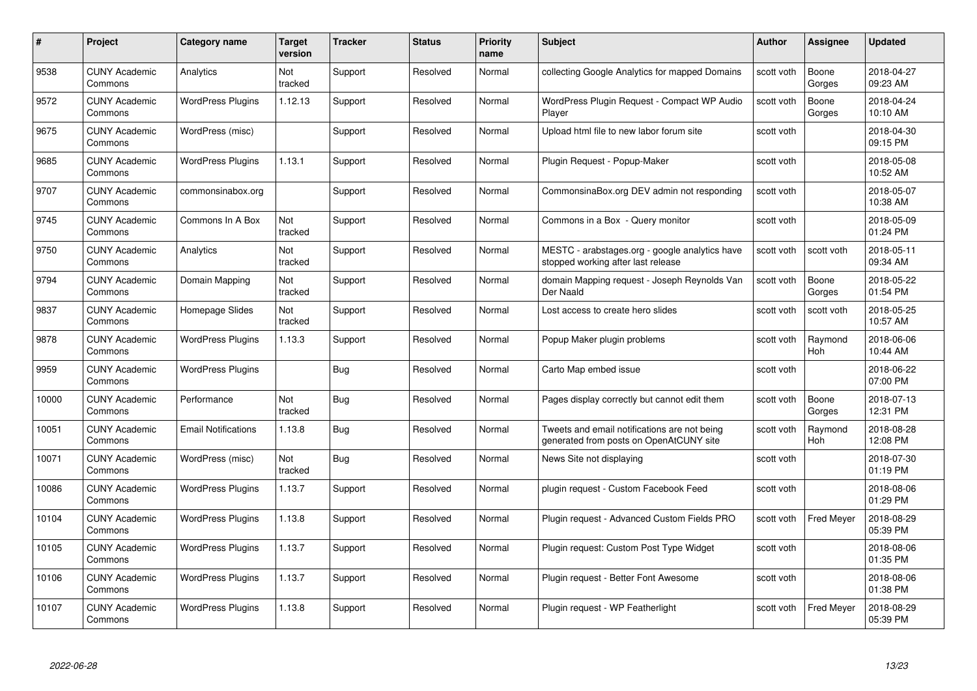| #     | Project                         | <b>Category name</b>       | Target<br>version | <b>Tracker</b> | <b>Status</b> | <b>Priority</b><br>name | <b>Subject</b>                                                                          | <b>Author</b> | <b>Assignee</b>       | <b>Updated</b>         |
|-------|---------------------------------|----------------------------|-------------------|----------------|---------------|-------------------------|-----------------------------------------------------------------------------------------|---------------|-----------------------|------------------------|
| 9538  | <b>CUNY Academic</b><br>Commons | Analytics                  | Not<br>tracked    | Support        | Resolved      | Normal                  | collecting Google Analytics for mapped Domains                                          | scott voth    | Boone<br>Gorges       | 2018-04-27<br>09:23 AM |
| 9572  | <b>CUNY Academic</b><br>Commons | <b>WordPress Plugins</b>   | 1.12.13           | Support        | Resolved      | Normal                  | WordPress Plugin Request - Compact WP Audio<br>Player                                   | scott voth    | Boone<br>Gorges       | 2018-04-24<br>10:10 AM |
| 9675  | <b>CUNY Academic</b><br>Commons | WordPress (misc)           |                   | Support        | Resolved      | Normal                  | Upload html file to new labor forum site                                                | scott voth    |                       | 2018-04-30<br>09:15 PM |
| 9685  | <b>CUNY Academic</b><br>Commons | <b>WordPress Plugins</b>   | 1.13.1            | Support        | Resolved      | Normal                  | Plugin Request - Popup-Maker                                                            | scott voth    |                       | 2018-05-08<br>10:52 AM |
| 9707  | <b>CUNY Academic</b><br>Commons | commonsinabox.org          |                   | Support        | Resolved      | Normal                  | CommonsinaBox.org DEV admin not responding                                              | scott voth    |                       | 2018-05-07<br>10:38 AM |
| 9745  | <b>CUNY Academic</b><br>Commons | Commons In A Box           | Not<br>tracked    | Support        | Resolved      | Normal                  | Commons in a Box - Query monitor                                                        | scott voth    |                       | 2018-05-09<br>01:24 PM |
| 9750  | <b>CUNY Academic</b><br>Commons | Analytics                  | Not<br>tracked    | Support        | Resolved      | Normal                  | MESTC - arabstages.org - google analytics have<br>stopped working after last release    | scott voth    | scott voth            | 2018-05-11<br>09:34 AM |
| 9794  | <b>CUNY Academic</b><br>Commons | Domain Mapping             | Not<br>tracked    | Support        | Resolved      | Normal                  | domain Mapping request - Joseph Reynolds Van<br>Der Naald                               | scott voth    | Boone<br>Gorges       | 2018-05-22<br>01:54 PM |
| 9837  | CUNY Academic<br>Commons        | Homepage Slides            | Not<br>tracked    | Support        | Resolved      | Normal                  | Lost access to create hero slides                                                       | scott voth    | scott voth            | 2018-05-25<br>10:57 AM |
| 9878  | <b>CUNY Academic</b><br>Commons | <b>WordPress Plugins</b>   | 1.13.3            | Support        | Resolved      | Normal                  | Popup Maker plugin problems                                                             | scott voth    | Raymond<br>Hoh        | 2018-06-06<br>10:44 AM |
| 9959  | CUNY Academic<br>Commons        | <b>WordPress Plugins</b>   |                   | <b>Bug</b>     | Resolved      | Normal                  | Carto Map embed issue                                                                   | scott voth    |                       | 2018-06-22<br>07:00 PM |
| 10000 | <b>CUNY Academic</b><br>Commons | Performance                | Not<br>tracked    | Bug            | Resolved      | Normal                  | Pages display correctly but cannot edit them                                            | scott voth    | Boone<br>Gorges       | 2018-07-13<br>12:31 PM |
| 10051 | <b>CUNY Academic</b><br>Commons | <b>Email Notifications</b> | 1.13.8            | <b>Bug</b>     | Resolved      | Normal                  | Tweets and email notifications are not being<br>generated from posts on OpenAtCUNY site | scott voth    | Raymond<br><b>Hoh</b> | 2018-08-28<br>12:08 PM |
| 10071 | <b>CUNY Academic</b><br>Commons | WordPress (misc)           | Not<br>tracked    | Bug            | Resolved      | Normal                  | News Site not displaying                                                                | scott voth    |                       | 2018-07-30<br>01:19 PM |
| 10086 | <b>CUNY Academic</b><br>Commons | <b>WordPress Plugins</b>   | 1.13.7            | Support        | Resolved      | Normal                  | plugin request - Custom Facebook Feed                                                   | scott voth    |                       | 2018-08-06<br>01:29 PM |
| 10104 | <b>CUNY Academic</b><br>Commons | <b>WordPress Plugins</b>   | 1.13.8            | Support        | Resolved      | Normal                  | Plugin request - Advanced Custom Fields PRO                                             | scott voth    | Fred Meyer            | 2018-08-29<br>05:39 PM |
| 10105 | <b>CUNY Academic</b><br>Commons | <b>WordPress Plugins</b>   | 1.13.7            | Support        | Resolved      | Normal                  | Plugin request: Custom Post Type Widget                                                 | scott voth    |                       | 2018-08-06<br>01:35 PM |
| 10106 | <b>CUNY Academic</b><br>Commons | <b>WordPress Plugins</b>   | 1.13.7            | Support        | Resolved      | Normal                  | Plugin reguest - Better Font Awesome                                                    | scott voth    |                       | 2018-08-06<br>01:38 PM |
| 10107 | <b>CUNY Academic</b><br>Commons | <b>WordPress Plugins</b>   | 1.13.8            | Support        | Resolved      | Normal                  | Plugin request - WP Featherlight                                                        | scott voth    | <b>Fred Meyer</b>     | 2018-08-29<br>05:39 PM |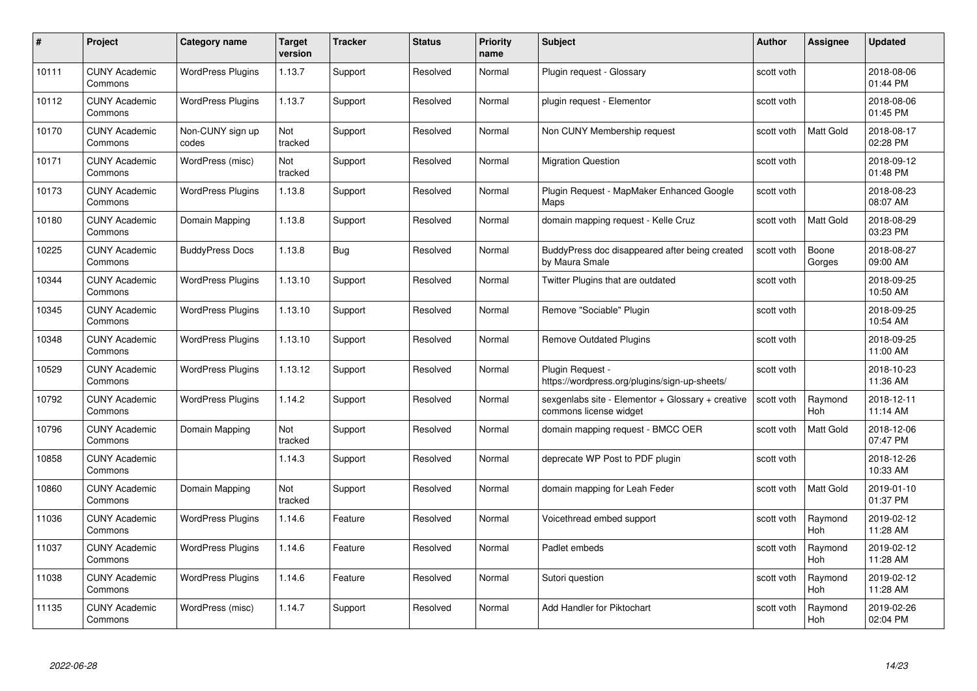| #     | Project                         | <b>Category name</b>      | Target<br>version | <b>Tracker</b> | <b>Status</b> | <b>Priority</b><br>name | <b>Subject</b>                                                              | <b>Author</b> | <b>Assignee</b>       | <b>Updated</b>         |
|-------|---------------------------------|---------------------------|-------------------|----------------|---------------|-------------------------|-----------------------------------------------------------------------------|---------------|-----------------------|------------------------|
| 10111 | <b>CUNY Academic</b><br>Commons | <b>WordPress Plugins</b>  | 1.13.7            | Support        | Resolved      | Normal                  | Plugin request - Glossary                                                   | scott voth    |                       | 2018-08-06<br>01:44 PM |
| 10112 | <b>CUNY Academic</b><br>Commons | <b>WordPress Plugins</b>  | 1.13.7            | Support        | Resolved      | Normal                  | plugin request - Elementor                                                  | scott voth    |                       | 2018-08-06<br>01:45 PM |
| 10170 | <b>CUNY Academic</b><br>Commons | Non-CUNY sign up<br>codes | Not<br>tracked    | Support        | Resolved      | Normal                  | Non CUNY Membership request                                                 | scott voth    | Matt Gold             | 2018-08-17<br>02:28 PM |
| 10171 | <b>CUNY Academic</b><br>Commons | WordPress (misc)          | Not<br>tracked    | Support        | Resolved      | Normal                  | <b>Migration Question</b>                                                   | scott voth    |                       | 2018-09-12<br>01:48 PM |
| 10173 | <b>CUNY Academic</b><br>Commons | <b>WordPress Plugins</b>  | 1.13.8            | Support        | Resolved      | Normal                  | Plugin Reguest - MapMaker Enhanced Google<br>Maps                           | scott voth    |                       | 2018-08-23<br>08:07 AM |
| 10180 | <b>CUNY Academic</b><br>Commons | Domain Mapping            | 1.13.8            | Support        | Resolved      | Normal                  | domain mapping request - Kelle Cruz                                         | scott voth    | Matt Gold             | 2018-08-29<br>03:23 PM |
| 10225 | <b>CUNY Academic</b><br>Commons | <b>BuddyPress Docs</b>    | 1.13.8            | Bug            | Resolved      | Normal                  | BuddyPress doc disappeared after being created<br>by Maura Smale            | scott voth    | Boone<br>Gorges       | 2018-08-27<br>09:00 AM |
| 10344 | <b>CUNY Academic</b><br>Commons | <b>WordPress Plugins</b>  | 1.13.10           | Support        | Resolved      | Normal                  | Twitter Plugins that are outdated                                           | scott voth    |                       | 2018-09-25<br>10:50 AM |
| 10345 | <b>CUNY Academic</b><br>Commons | <b>WordPress Plugins</b>  | 1.13.10           | Support        | Resolved      | Normal                  | Remove "Sociable" Plugin                                                    | scott voth    |                       | 2018-09-25<br>10:54 AM |
| 10348 | <b>CUNY Academic</b><br>Commons | <b>WordPress Plugins</b>  | 1.13.10           | Support        | Resolved      | Normal                  | <b>Remove Outdated Plugins</b>                                              | scott voth    |                       | 2018-09-25<br>11:00 AM |
| 10529 | <b>CUNY Academic</b><br>Commons | <b>WordPress Plugins</b>  | 1.13.12           | Support        | Resolved      | Normal                  | Plugin Request -<br>https://wordpress.org/plugins/sign-up-sheets/           | scott voth    |                       | 2018-10-23<br>11:36 AM |
| 10792 | <b>CUNY Academic</b><br>Commons | <b>WordPress Plugins</b>  | 1.14.2            | Support        | Resolved      | Normal                  | sexgenlabs site - Elementor + Glossary + creative<br>commons license widget | scott voth    | Raymond<br><b>Hoh</b> | 2018-12-11<br>11:14 AM |
| 10796 | <b>CUNY Academic</b><br>Commons | Domain Mapping            | Not<br>tracked    | Support        | Resolved      | Normal                  | domain mapping request - BMCC OER                                           | scott voth    | Matt Gold             | 2018-12-06<br>07:47 PM |
| 10858 | <b>CUNY Academic</b><br>Commons |                           | 1.14.3            | Support        | Resolved      | Normal                  | deprecate WP Post to PDF plugin                                             | scott voth    |                       | 2018-12-26<br>10:33 AM |
| 10860 | <b>CUNY Academic</b><br>Commons | Domain Mapping            | Not<br>tracked    | Support        | Resolved      | Normal                  | domain mapping for Leah Feder                                               | scott voth    | <b>Matt Gold</b>      | 2019-01-10<br>01:37 PM |
| 11036 | <b>CUNY Academic</b><br>Commons | <b>WordPress Plugins</b>  | 1.14.6            | Feature        | Resolved      | Normal                  | Voicethread embed support                                                   | scott voth    | Raymond<br>Hoh        | 2019-02-12<br>11:28 AM |
| 11037 | <b>CUNY Academic</b><br>Commons | <b>WordPress Plugins</b>  | 1.14.6            | Feature        | Resolved      | Normal                  | Padlet embeds                                                               | scott voth    | Raymond<br><b>Hoh</b> | 2019-02-12<br>11:28 AM |
| 11038 | <b>CUNY Academic</b><br>Commons | <b>WordPress Plugins</b>  | 1.14.6            | Feature        | Resolved      | Normal                  | Sutori question                                                             | scott voth    | Raymond<br>Hoh        | 2019-02-12<br>11:28 AM |
| 11135 | <b>CUNY Academic</b><br>Commons | WordPress (misc)          | 1.14.7            | Support        | Resolved      | Normal                  | Add Handler for Piktochart                                                  | scott voth    | Raymond<br>Hoh        | 2019-02-26<br>02:04 PM |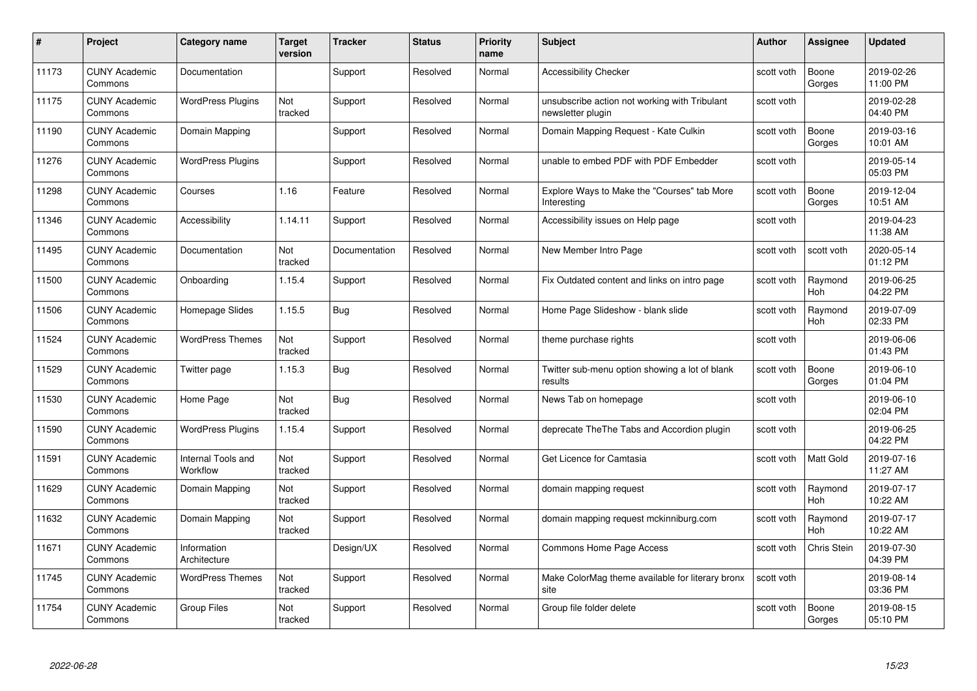| #     | Project                         | <b>Category name</b>           | Target<br>version | <b>Tracker</b> | <b>Status</b> | <b>Priority</b><br>name | <b>Subject</b>                                                     | <b>Author</b> | <b>Assignee</b>       | <b>Updated</b>         |
|-------|---------------------------------|--------------------------------|-------------------|----------------|---------------|-------------------------|--------------------------------------------------------------------|---------------|-----------------------|------------------------|
| 11173 | <b>CUNY Academic</b><br>Commons | Documentation                  |                   | Support        | Resolved      | Normal                  | <b>Accessibility Checker</b>                                       | scott voth    | Boone<br>Gorges       | 2019-02-26<br>11:00 PM |
| 11175 | <b>CUNY Academic</b><br>Commons | <b>WordPress Plugins</b>       | Not<br>tracked    | Support        | Resolved      | Normal                  | unsubscribe action not working with Tribulant<br>newsletter plugin | scott voth    |                       | 2019-02-28<br>04:40 PM |
| 11190 | <b>CUNY Academic</b><br>Commons | Domain Mapping                 |                   | Support        | Resolved      | Normal                  | Domain Mapping Request - Kate Culkin                               | scott voth    | Boone<br>Gorges       | 2019-03-16<br>10:01 AM |
| 11276 | <b>CUNY Academic</b><br>Commons | <b>WordPress Plugins</b>       |                   | Support        | Resolved      | Normal                  | unable to embed PDF with PDF Embedder                              | scott voth    |                       | 2019-05-14<br>05:03 PM |
| 11298 | CUNY Academic<br>Commons        | Courses                        | 1.16              | Feature        | Resolved      | Normal                  | Explore Ways to Make the "Courses" tab More<br>Interesting         | scott voth    | Boone<br>Gorges       | 2019-12-04<br>10:51 AM |
| 11346 | <b>CUNY Academic</b><br>Commons | Accessibility                  | 1.14.11           | Support        | Resolved      | Normal                  | Accessibility issues on Help page                                  | scott voth    |                       | 2019-04-23<br>11:38 AM |
| 11495 | <b>CUNY Academic</b><br>Commons | Documentation                  | Not<br>tracked    | Documentation  | Resolved      | Normal                  | New Member Intro Page                                              | scott voth    | scott voth            | 2020-05-14<br>01:12 PM |
| 11500 | <b>CUNY Academic</b><br>Commons | Onboarding                     | 1.15.4            | Support        | Resolved      | Normal                  | Fix Outdated content and links on intro page                       | scott voth    | Raymond<br><b>Hoh</b> | 2019-06-25<br>04:22 PM |
| 11506 | <b>CUNY Academic</b><br>Commons | Homepage Slides                | 1.15.5            | <b>Bug</b>     | Resolved      | Normal                  | Home Page Slideshow - blank slide                                  | scott voth    | Raymond<br>Hoh        | 2019-07-09<br>02:33 PM |
| 11524 | <b>CUNY Academic</b><br>Commons | <b>WordPress Themes</b>        | Not<br>tracked    | Support        | Resolved      | Normal                  | theme purchase rights                                              | scott voth    |                       | 2019-06-06<br>01:43 PM |
| 11529 | CUNY Academic<br>Commons        | Twitter page                   | 1.15.3            | Bug            | Resolved      | Normal                  | Twitter sub-menu option showing a lot of blank<br>results          | scott voth    | Boone<br>Gorges       | 2019-06-10<br>01:04 PM |
| 11530 | <b>CUNY Academic</b><br>Commons | Home Page                      | Not<br>tracked    | <b>Bug</b>     | Resolved      | Normal                  | News Tab on homepage                                               | scott voth    |                       | 2019-06-10<br>02:04 PM |
| 11590 | <b>CUNY Academic</b><br>Commons | <b>WordPress Plugins</b>       | 1.15.4            | Support        | Resolved      | Normal                  | deprecate The The Tabs and Accordion plugin                        | scott voth    |                       | 2019-06-25<br>04:22 PM |
| 11591 | <b>CUNY Academic</b><br>Commons | Internal Tools and<br>Workflow | Not<br>tracked    | Support        | Resolved      | Normal                  | Get Licence for Camtasia                                           | scott voth    | <b>Matt Gold</b>      | 2019-07-16<br>11:27 AM |
| 11629 | <b>CUNY Academic</b><br>Commons | Domain Mapping                 | Not<br>tracked    | Support        | Resolved      | Normal                  | domain mapping request                                             | scott voth    | Raymond<br>Hoh        | 2019-07-17<br>10:22 AM |
| 11632 | <b>CUNY Academic</b><br>Commons | Domain Mapping                 | Not<br>tracked    | Support        | Resolved      | Normal                  | domain mapping request mckinniburg.com                             | scott voth    | Raymond<br><b>Hoh</b> | 2019-07-17<br>10:22 AM |
| 11671 | <b>CUNY Academic</b><br>Commons | Information<br>Architecture    |                   | Design/UX      | Resolved      | Normal                  | Commons Home Page Access                                           | scott voth    | Chris Stein           | 2019-07-30<br>04:39 PM |
| 11745 | <b>CUNY Academic</b><br>Commons | <b>WordPress Themes</b>        | Not<br>tracked    | Support        | Resolved      | Normal                  | Make ColorMag theme available for literary bronx<br>site           | scott voth    |                       | 2019-08-14<br>03:36 PM |
| 11754 | CUNY Academic<br>Commons        | <b>Group Files</b>             | Not<br>tracked    | Support        | Resolved      | Normal                  | Group file folder delete                                           | scott voth    | Boone<br>Gorges       | 2019-08-15<br>05:10 PM |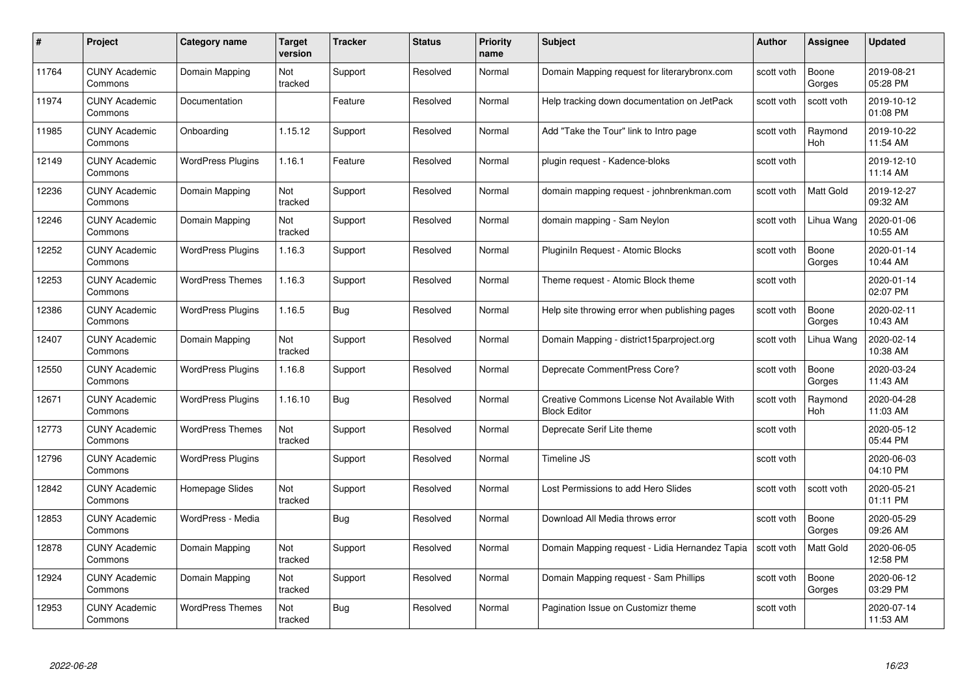| #     | Project                         | <b>Category name</b>     | Target<br>version | <b>Tracker</b> | <b>Status</b> | <b>Priority</b><br>name | <b>Subject</b>                                                     | <b>Author</b> | <b>Assignee</b>  | <b>Updated</b>         |
|-------|---------------------------------|--------------------------|-------------------|----------------|---------------|-------------------------|--------------------------------------------------------------------|---------------|------------------|------------------------|
| 11764 | <b>CUNY Academic</b><br>Commons | Domain Mapping           | Not<br>tracked    | Support        | Resolved      | Normal                  | Domain Mapping request for literarybronx.com                       | scott voth    | Boone<br>Gorges  | 2019-08-21<br>05:28 PM |
| 11974 | <b>CUNY Academic</b><br>Commons | Documentation            |                   | Feature        | Resolved      | Normal                  | Help tracking down documentation on JetPack                        | scott voth    | scott voth       | 2019-10-12<br>01:08 PM |
| 11985 | <b>CUNY Academic</b><br>Commons | Onboarding               | 1.15.12           | Support        | Resolved      | Normal                  | Add "Take the Tour" link to Intro page                             | scott voth    | Raymond<br>Hoh   | 2019-10-22<br>11:54 AM |
| 12149 | <b>CUNY Academic</b><br>Commons | <b>WordPress Plugins</b> | 1.16.1            | Feature        | Resolved      | Normal                  | plugin request - Kadence-bloks                                     | scott voth    |                  | 2019-12-10<br>11:14 AM |
| 12236 | CUNY Academic<br>Commons        | Domain Mapping           | Not<br>tracked    | Support        | Resolved      | Normal                  | domain mapping request - johnbrenkman.com                          | scott voth    | <b>Matt Gold</b> | 2019-12-27<br>09:32 AM |
| 12246 | <b>CUNY Academic</b><br>Commons | Domain Mapping           | Not<br>tracked    | Support        | Resolved      | Normal                  | domain mapping - Sam Neylon                                        | scott voth    | Lihua Wang       | 2020-01-06<br>10:55 AM |
| 12252 | <b>CUNY Academic</b><br>Commons | <b>WordPress Plugins</b> | 1.16.3            | Support        | Resolved      | Normal                  | Pluginiln Request - Atomic Blocks                                  | scott voth    | Boone<br>Gorges  | 2020-01-14<br>10:44 AM |
| 12253 | <b>CUNY Academic</b><br>Commons | <b>WordPress Themes</b>  | 1.16.3            | Support        | Resolved      | Normal                  | Theme request - Atomic Block theme                                 | scott voth    |                  | 2020-01-14<br>02:07 PM |
| 12386 | <b>CUNY Academic</b><br>Commons | <b>WordPress Plugins</b> | 1.16.5            | <b>Bug</b>     | Resolved      | Normal                  | Help site throwing error when publishing pages                     | scott voth    | Boone<br>Gorges  | 2020-02-11<br>10:43 AM |
| 12407 | <b>CUNY Academic</b><br>Commons | Domain Mapping           | Not<br>tracked    | Support        | Resolved      | Normal                  | Domain Mapping - district15parproject.org                          | scott voth    | Lihua Wang       | 2020-02-14<br>10:38 AM |
| 12550 | CUNY Academic<br>Commons        | <b>WordPress Plugins</b> | 1.16.8            | Support        | Resolved      | Normal                  | Deprecate CommentPress Core?                                       | scott voth    | Boone<br>Gorges  | 2020-03-24<br>11:43 AM |
| 12671 | <b>CUNY Academic</b><br>Commons | <b>WordPress Plugins</b> | 1.16.10           | <b>Bug</b>     | Resolved      | Normal                  | Creative Commons License Not Available With<br><b>Block Editor</b> | scott voth    | Raymond<br>Hoh   | 2020-04-28<br>11:03 AM |
| 12773 | <b>CUNY Academic</b><br>Commons | <b>WordPress Themes</b>  | Not<br>tracked    | Support        | Resolved      | Normal                  | Deprecate Serif Lite theme                                         | scott voth    |                  | 2020-05-12<br>05:44 PM |
| 12796 | <b>CUNY Academic</b><br>Commons | <b>WordPress Plugins</b> |                   | Support        | Resolved      | Normal                  | Timeline JS                                                        | scott voth    |                  | 2020-06-03<br>04:10 PM |
| 12842 | <b>CUNY Academic</b><br>Commons | Homepage Slides          | Not<br>tracked    | Support        | Resolved      | Normal                  | Lost Permissions to add Hero Slides                                | scott voth    | scott voth       | 2020-05-21<br>01:11 PM |
| 12853 | <b>CUNY Academic</b><br>Commons | WordPress - Media        |                   | Bug            | Resolved      | Normal                  | Download All Media throws error                                    | scott voth    | Boone<br>Gorges  | 2020-05-29<br>09:26 AM |
| 12878 | <b>CUNY Academic</b><br>Commons | Domain Mapping           | Not<br>tracked    | Support        | Resolved      | Normal                  | Domain Mapping request - Lidia Hernandez Tapia                     | scott voth    | Matt Gold        | 2020-06-05<br>12:58 PM |
| 12924 | <b>CUNY Academic</b><br>Commons | Domain Mapping           | Not<br>tracked    | Support        | Resolved      | Normal                  | Domain Mapping request - Sam Phillips                              | scott voth    | Boone<br>Gorges  | 2020-06-12<br>03:29 PM |
| 12953 | CUNY Academic<br>Commons        | <b>WordPress Themes</b>  | Not<br>tracked    | Bug            | Resolved      | Normal                  | Pagination Issue on Customizr theme                                | scott voth    |                  | 2020-07-14<br>11:53 AM |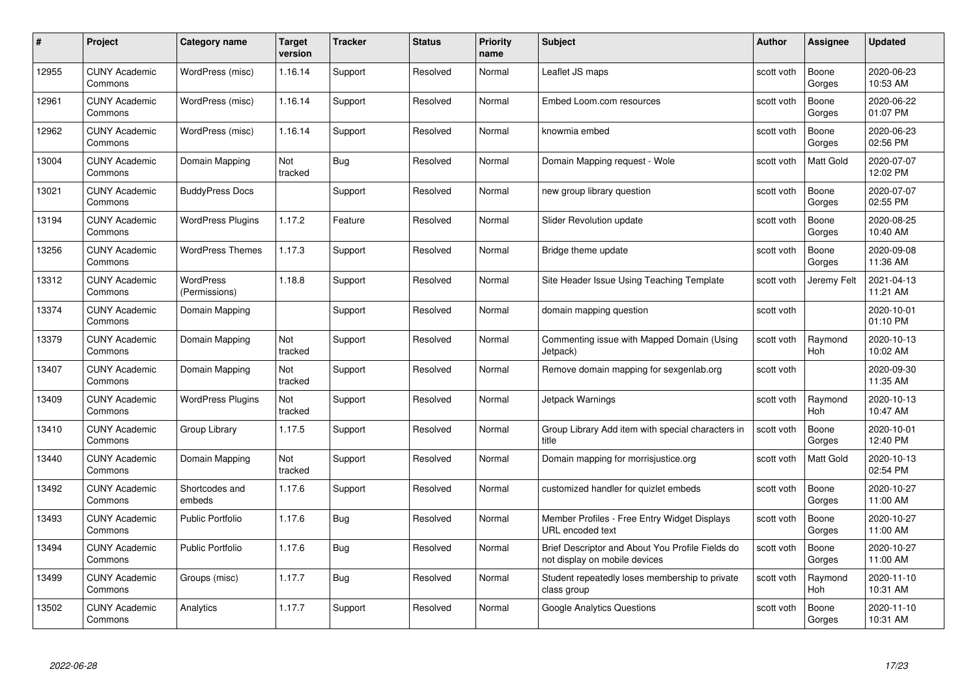| #     | Project                         | <b>Category name</b>              | Target<br>version | <b>Tracker</b> | <b>Status</b> | <b>Priority</b><br>name | <b>Subject</b>                                                                    | Author     | Assignee              | <b>Updated</b>         |
|-------|---------------------------------|-----------------------------------|-------------------|----------------|---------------|-------------------------|-----------------------------------------------------------------------------------|------------|-----------------------|------------------------|
| 12955 | <b>CUNY Academic</b><br>Commons | WordPress (misc)                  | 1.16.14           | Support        | Resolved      | Normal                  | Leaflet JS maps                                                                   | scott voth | Boone<br>Gorges       | 2020-06-23<br>10:53 AM |
| 12961 | <b>CUNY Academic</b><br>Commons | WordPress (misc)                  | 1.16.14           | Support        | Resolved      | Normal                  | Embed Loom.com resources                                                          | scott voth | Boone<br>Gorges       | 2020-06-22<br>01:07 PM |
| 12962 | <b>CUNY Academic</b><br>Commons | WordPress (misc)                  | 1.16.14           | Support        | Resolved      | Normal                  | knowmia embed                                                                     | scott voth | Boone<br>Gorges       | 2020-06-23<br>02:56 PM |
| 13004 | <b>CUNY Academic</b><br>Commons | Domain Mapping                    | Not<br>tracked    | <b>Bug</b>     | Resolved      | Normal                  | Domain Mapping request - Wole                                                     | scott voth | Matt Gold             | 2020-07-07<br>12:02 PM |
| 13021 | <b>CUNY Academic</b><br>Commons | <b>BuddyPress Docs</b>            |                   | Support        | Resolved      | Normal                  | new group library question                                                        | scott voth | Boone<br>Gorges       | 2020-07-07<br>02:55 PM |
| 13194 | <b>CUNY Academic</b><br>Commons | <b>WordPress Plugins</b>          | 1.17.2            | Feature        | Resolved      | Normal                  | Slider Revolution update                                                          | scott voth | Boone<br>Gorges       | 2020-08-25<br>10:40 AM |
| 13256 | <b>CUNY Academic</b><br>Commons | <b>WordPress Themes</b>           | 1.17.3            | Support        | Resolved      | Normal                  | Bridge theme update                                                               | scott voth | Boone<br>Gorges       | 2020-09-08<br>11:36 AM |
| 13312 | <b>CUNY Academic</b><br>Commons | <b>WordPress</b><br>(Permissions) | 1.18.8            | Support        | Resolved      | Normal                  | Site Header Issue Using Teaching Template                                         | scott voth | Jeremy Felt           | 2021-04-13<br>11:21 AM |
| 13374 | <b>CUNY Academic</b><br>Commons | Domain Mapping                    |                   | Support        | Resolved      | Normal                  | domain mapping question                                                           | scott voth |                       | 2020-10-01<br>01:10 PM |
| 13379 | <b>CUNY Academic</b><br>Commons | Domain Mapping                    | Not<br>tracked    | Support        | Resolved      | Normal                  | Commenting issue with Mapped Domain (Using<br>Jetpack)                            | scott voth | Raymond<br>Hoh        | 2020-10-13<br>10:02 AM |
| 13407 | <b>CUNY Academic</b><br>Commons | Domain Mapping                    | Not<br>tracked    | Support        | Resolved      | Normal                  | Remove domain mapping for sexgenlab.org                                           | scott voth |                       | 2020-09-30<br>11:35 AM |
| 13409 | <b>CUNY Academic</b><br>Commons | <b>WordPress Plugins</b>          | Not<br>tracked    | Support        | Resolved      | Normal                  | Jetpack Warnings                                                                  | scott voth | Raymond<br><b>Hoh</b> | 2020-10-13<br>10:47 AM |
| 13410 | <b>CUNY Academic</b><br>Commons | Group Library                     | 1.17.5            | Support        | Resolved      | Normal                  | Group Library Add item with special characters in<br>title                        | scott voth | Boone<br>Gorges       | 2020-10-01<br>12:40 PM |
| 13440 | <b>CUNY Academic</b><br>Commons | Domain Mapping                    | Not<br>tracked    | Support        | Resolved      | Normal                  | Domain mapping for morrisjustice.org                                              | scott voth | Matt Gold             | 2020-10-13<br>02:54 PM |
| 13492 | <b>CUNY Academic</b><br>Commons | Shortcodes and<br>embeds          | 1.17.6            | Support        | Resolved      | Normal                  | customized handler for quizlet embeds                                             | scott voth | Boone<br>Gorges       | 2020-10-27<br>11:00 AM |
| 13493 | <b>CUNY Academic</b><br>Commons | <b>Public Portfolio</b>           | 1.17.6            | <b>Bug</b>     | Resolved      | Normal                  | Member Profiles - Free Entry Widget Displays<br>URL encoded text                  | scott voth | Boone<br>Gorges       | 2020-10-27<br>11:00 AM |
| 13494 | <b>CUNY Academic</b><br>Commons | <b>Public Portfolio</b>           | 1.17.6            | Bug            | Resolved      | Normal                  | Brief Descriptor and About You Profile Fields do<br>not display on mobile devices | scott voth | Boone<br>Gorges       | 2020-10-27<br>11:00 AM |
| 13499 | <b>CUNY Academic</b><br>Commons | Groups (misc)                     | 1.17.7            | <b>Bug</b>     | Resolved      | Normal                  | Student repeatedly loses membership to private<br>class group                     | scott voth | Raymond<br>Hoh        | 2020-11-10<br>10:31 AM |
| 13502 | <b>CUNY Academic</b><br>Commons | Analytics                         | 1.17.7            | Support        | Resolved      | Normal                  | <b>Google Analytics Questions</b>                                                 | scott voth | Boone<br>Gorges       | 2020-11-10<br>10:31 AM |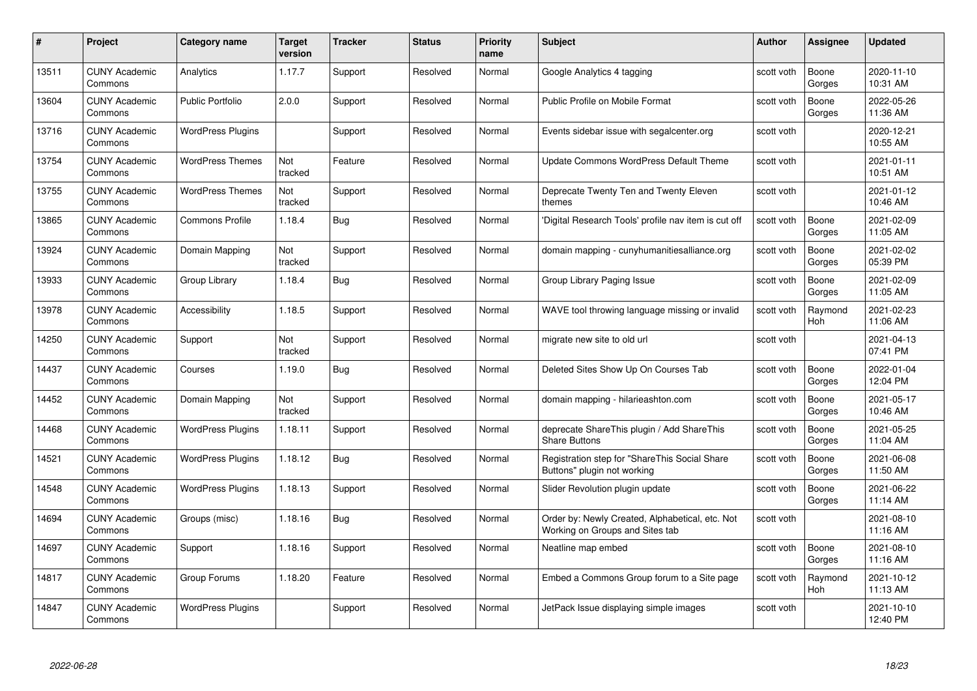| #     | Project                         | <b>Category name</b>     | Target<br>version | <b>Tracker</b> | <b>Status</b> | <b>Priority</b><br>name | <b>Subject</b>                                                                     | <b>Author</b> | <b>Assignee</b> | <b>Updated</b>         |
|-------|---------------------------------|--------------------------|-------------------|----------------|---------------|-------------------------|------------------------------------------------------------------------------------|---------------|-----------------|------------------------|
| 13511 | <b>CUNY Academic</b><br>Commons | Analytics                | 1.17.7            | Support        | Resolved      | Normal                  | Google Analytics 4 tagging                                                         | scott voth    | Boone<br>Gorges | 2020-11-10<br>10:31 AM |
| 13604 | <b>CUNY Academic</b><br>Commons | Public Portfolio         | 2.0.0             | Support        | Resolved      | Normal                  | Public Profile on Mobile Format                                                    | scott voth    | Boone<br>Gorges | 2022-05-26<br>11:36 AM |
| 13716 | <b>CUNY Academic</b><br>Commons | <b>WordPress Plugins</b> |                   | Support        | Resolved      | Normal                  | Events sidebar issue with segalcenter.org                                          | scott voth    |                 | 2020-12-21<br>10:55 AM |
| 13754 | <b>CUNY Academic</b><br>Commons | <b>WordPress Themes</b>  | Not<br>tracked    | Feature        | Resolved      | Normal                  | Update Commons WordPress Default Theme                                             | scott voth    |                 | 2021-01-11<br>10:51 AM |
| 13755 | <b>CUNY Academic</b><br>Commons | <b>WordPress Themes</b>  | Not<br>tracked    | Support        | Resolved      | Normal                  | Deprecate Twenty Ten and Twenty Eleven<br>themes                                   | scott voth    |                 | 2021-01-12<br>10:46 AM |
| 13865 | <b>CUNY Academic</b><br>Commons | <b>Commons Profile</b>   | 1.18.4            | Bug            | Resolved      | Normal                  | 'Digital Research Tools' profile nav item is cut off                               | scott voth    | Boone<br>Gorges | 2021-02-09<br>11:05 AM |
| 13924 | <b>CUNY Academic</b><br>Commons | Domain Mapping           | Not<br>tracked    | Support        | Resolved      | Normal                  | domain mapping - cunyhumanitiesalliance.org                                        | scott voth    | Boone<br>Gorges | 2021-02-02<br>05:39 PM |
| 13933 | <b>CUNY Academic</b><br>Commons | Group Library            | 1.18.4            | <b>Bug</b>     | Resolved      | Normal                  | Group Library Paging Issue                                                         | scott voth    | Boone<br>Gorges | 2021-02-09<br>11:05 AM |
| 13978 | <b>CUNY Academic</b><br>Commons | Accessibility            | 1.18.5            | Support        | Resolved      | Normal                  | WAVE tool throwing language missing or invalid                                     | scott voth    | Raymond<br>Hoh  | 2021-02-23<br>11:06 AM |
| 14250 | <b>CUNY Academic</b><br>Commons | Support                  | Not<br>tracked    | Support        | Resolved      | Normal                  | migrate new site to old url                                                        | scott voth    |                 | 2021-04-13<br>07:41 PM |
| 14437 | CUNY Academic<br>Commons        | Courses                  | 1.19.0            | Bug            | Resolved      | Normal                  | Deleted Sites Show Up On Courses Tab                                               | scott voth    | Boone<br>Gorges | 2022-01-04<br>12:04 PM |
| 14452 | <b>CUNY Academic</b><br>Commons | Domain Mapping           | Not<br>tracked    | Support        | Resolved      | Normal                  | domain mapping - hilarieashton.com                                                 | scott voth    | Boone<br>Gorges | 2021-05-17<br>10:46 AM |
| 14468 | <b>CUNY Academic</b><br>Commons | <b>WordPress Plugins</b> | 1.18.11           | Support        | Resolved      | Normal                  | deprecate ShareThis plugin / Add ShareThis<br><b>Share Buttons</b>                 | scott voth    | Boone<br>Gorges | 2021-05-25<br>11:04 AM |
| 14521 | <b>CUNY Academic</b><br>Commons | <b>WordPress Plugins</b> | 1.18.12           | <b>Bug</b>     | Resolved      | Normal                  | Registration step for "ShareThis Social Share<br>Buttons" plugin not working       | scott voth    | Boone<br>Gorges | 2021-06-08<br>11:50 AM |
| 14548 | <b>CUNY Academic</b><br>Commons | <b>WordPress Plugins</b> | 1.18.13           | Support        | Resolved      | Normal                  | Slider Revolution plugin update                                                    | scott voth    | Boone<br>Gorges | 2021-06-22<br>11:14 AM |
| 14694 | <b>CUNY Academic</b><br>Commons | Groups (misc)            | 1.18.16           | Bug            | Resolved      | Normal                  | Order by: Newly Created, Alphabetical, etc. Not<br>Working on Groups and Sites tab | scott voth    |                 | 2021-08-10<br>11:16 AM |
| 14697 | <b>CUNY Academic</b><br>Commons | Support                  | 1.18.16           | Support        | Resolved      | Normal                  | Neatline map embed                                                                 | scott voth    | Boone<br>Gorges | 2021-08-10<br>11:16 AM |
| 14817 | <b>CUNY Academic</b><br>Commons | Group Forums             | 1.18.20           | Feature        | Resolved      | Normal                  | Embed a Commons Group forum to a Site page                                         | scott voth    | Raymond<br>Hoh  | 2021-10-12<br>11:13 AM |
| 14847 | CUNY Academic<br>Commons        | <b>WordPress Plugins</b> |                   | Support        | Resolved      | Normal                  | JetPack Issue displaying simple images                                             | scott voth    |                 | 2021-10-10<br>12:40 PM |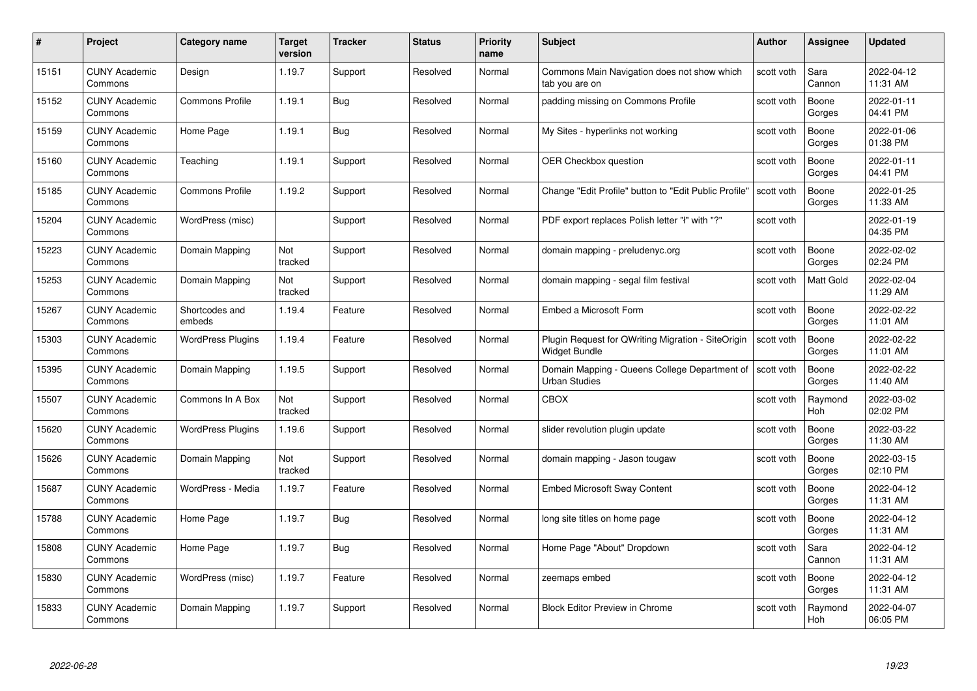|       | Project                         | <b>Category name</b>     | Target<br>version | <b>Tracker</b> | <b>Status</b> | <b>Priority</b><br>name | <b>Subject</b>                                                        | <b>Author</b> | <b>Assignee</b>       | <b>Updated</b>         |
|-------|---------------------------------|--------------------------|-------------------|----------------|---------------|-------------------------|-----------------------------------------------------------------------|---------------|-----------------------|------------------------|
| 15151 | <b>CUNY Academic</b><br>Commons | Design                   | 1.19.7            | Support        | Resolved      | Normal                  | Commons Main Navigation does not show which<br>tab you are on         | scott voth    | Sara<br>Cannon        | 2022-04-12<br>11:31 AM |
| 15152 | <b>CUNY Academic</b><br>Commons | <b>Commons Profile</b>   | 1.19.1            | <b>Bug</b>     | Resolved      | Normal                  | padding missing on Commons Profile                                    | scott voth    | Boone<br>Gorges       | 2022-01-11<br>04:41 PM |
| 15159 | <b>CUNY Academic</b><br>Commons | Home Page                | 1.19.1            | Bug            | Resolved      | Normal                  | My Sites - hyperlinks not working                                     | scott voth    | Boone<br>Gorges       | 2022-01-06<br>01:38 PM |
| 15160 | <b>CUNY Academic</b><br>Commons | Teaching                 | 1.19.1            | Support        | Resolved      | Normal                  | <b>OER Checkbox question</b>                                          | scott voth    | Boone<br>Gorges       | 2022-01-11<br>04:41 PM |
| 15185 | <b>CUNY Academic</b><br>Commons | <b>Commons Profile</b>   | 1.19.2            | Support        | Resolved      | Normal                  | Change "Edit Profile" button to "Edit Public Profile"                 | scott voth    | Boone<br>Gorges       | 2022-01-25<br>11:33 AM |
| 15204 | <b>CUNY Academic</b><br>Commons | WordPress (misc)         |                   | Support        | Resolved      | Normal                  | PDF export replaces Polish letter "ł" with "?"                        | scott voth    |                       | 2022-01-19<br>04:35 PM |
| 15223 | <b>CUNY Academic</b><br>Commons | Domain Mapping           | Not<br>tracked    | Support        | Resolved      | Normal                  | domain mapping - preludenyc.org                                       | scott voth    | Boone<br>Gorges       | 2022-02-02<br>02:24 PM |
| 15253 | <b>CUNY Academic</b><br>Commons | Domain Mapping           | Not<br>tracked    | Support        | Resolved      | Normal                  | domain mapping - segal film festival                                  | scott voth    | Matt Gold             | 2022-02-04<br>11:29 AM |
| 15267 | <b>CUNY Academic</b><br>Commons | Shortcodes and<br>embeds | 1.19.4            | Feature        | Resolved      | Normal                  | Embed a Microsoft Form                                                | scott voth    | Boone<br>Gorges       | 2022-02-22<br>11:01 AM |
| 15303 | <b>CUNY Academic</b><br>Commons | <b>WordPress Plugins</b> | 1.19.4            | Feature        | Resolved      | Normal                  | Plugin Request for QWriting Migration - SiteOrigin<br>Widget Bundle   | scott voth    | Boone<br>Gorges       | 2022-02-22<br>11:01 AM |
| 15395 | <b>CUNY Academic</b><br>Commons | Domain Mapping           | 1.19.5            | Support        | Resolved      | Normal                  | Domain Mapping - Queens College Department of<br><b>Urban Studies</b> | scott voth    | Boone<br>Gorges       | 2022-02-22<br>11:40 AM |
| 15507 | <b>CUNY Academic</b><br>Commons | Commons In A Box         | Not<br>tracked    | Support        | Resolved      | Normal                  | CBOX                                                                  | scott voth    | Raymond<br><b>Hoh</b> | 2022-03-02<br>02:02 PM |
| 15620 | <b>CUNY Academic</b><br>Commons | <b>WordPress Plugins</b> | 1.19.6            | Support        | Resolved      | Normal                  | slider revolution plugin update                                       | scott voth    | Boone<br>Gorges       | 2022-03-22<br>11:30 AM |
| 15626 | <b>CUNY Academic</b><br>Commons | Domain Mapping           | Not<br>tracked    | Support        | Resolved      | Normal                  | domain mapping - Jason tougaw                                         | scott voth    | Boone<br>Gorges       | 2022-03-15<br>02:10 PM |
| 15687 | CUNY Academic<br>Commons        | WordPress - Media        | 1.19.7            | Feature        | Resolved      | Normal                  | <b>Embed Microsoft Sway Content</b>                                   | scott voth    | Boone<br>Gorges       | 2022-04-12<br>11:31 AM |
| 15788 | <b>CUNY Academic</b><br>Commons | Home Page                | 1.19.7            | <b>Bug</b>     | Resolved      | Normal                  | long site titles on home page                                         | scott voth    | Boone<br>Gorges       | 2022-04-12<br>11:31 AM |
| 15808 | <b>CUNY Academic</b><br>Commons | Home Page                | 1.19.7            | <b>Bug</b>     | Resolved      | Normal                  | Home Page "About" Dropdown                                            | scott voth    | Sara<br>Cannon        | 2022-04-12<br>11:31 AM |
| 15830 | <b>CUNY Academic</b><br>Commons | WordPress (misc)         | 1.19.7            | Feature        | Resolved      | Normal                  | zeemaps embed                                                         | scott voth    | Boone<br>Gorges       | 2022-04-12<br>11:31 AM |
| 15833 | CUNY Academic<br>Commons        | Domain Mapping           | 1.19.7            | Support        | Resolved      | Normal                  | <b>Block Editor Preview in Chrome</b>                                 | scott voth    | Raymond<br>Hoh        | 2022-04-07<br>06:05 PM |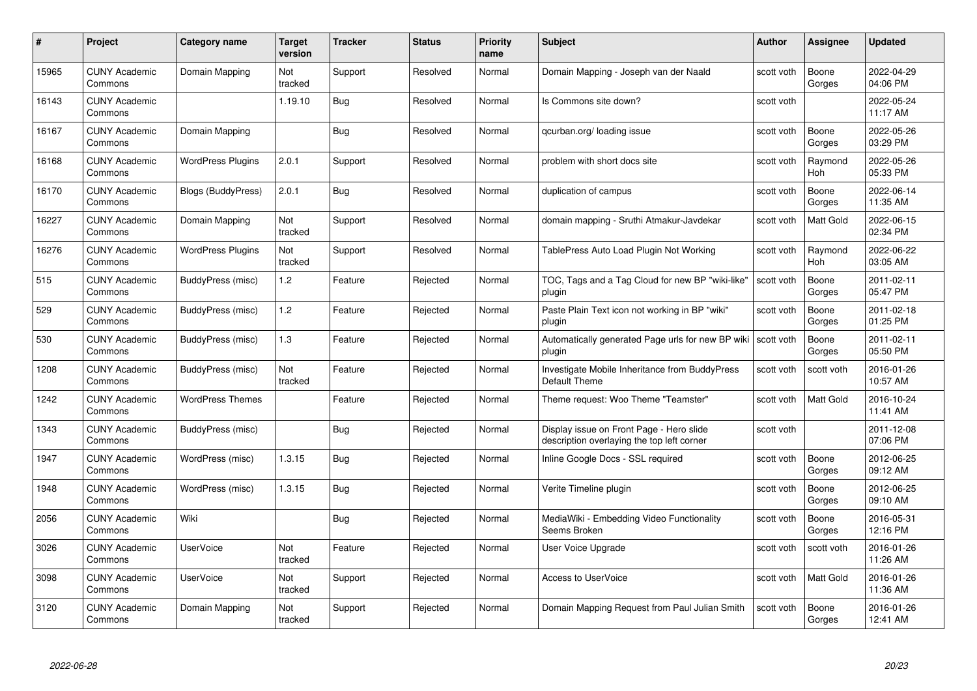| #     | Project                         | <b>Category name</b>     | Target<br>version | <b>Tracker</b> | <b>Status</b> | <b>Priority</b><br>name | <b>Subject</b>                                                                         | <b>Author</b> | <b>Assignee</b> | <b>Updated</b>         |
|-------|---------------------------------|--------------------------|-------------------|----------------|---------------|-------------------------|----------------------------------------------------------------------------------------|---------------|-----------------|------------------------|
| 15965 | <b>CUNY Academic</b><br>Commons | Domain Mapping           | Not<br>tracked    | Support        | Resolved      | Normal                  | Domain Mapping - Joseph van der Naald                                                  | scott voth    | Boone<br>Gorges | 2022-04-29<br>04:06 PM |
| 16143 | <b>CUNY Academic</b><br>Commons |                          | 1.19.10           | <b>Bug</b>     | Resolved      | Normal                  | Is Commons site down?                                                                  | scott voth    |                 | 2022-05-24<br>11:17 AM |
| 16167 | <b>CUNY Academic</b><br>Commons | Domain Mapping           |                   | <b>Bug</b>     | Resolved      | Normal                  | qcurban.org/loading issue                                                              | scott voth    | Boone<br>Gorges | 2022-05-26<br>03:29 PM |
| 16168 | <b>CUNY Academic</b><br>Commons | <b>WordPress Plugins</b> | 2.0.1             | Support        | Resolved      | Normal                  | problem with short docs site                                                           | scott voth    | Raymond<br>Hoh  | 2022-05-26<br>05:33 PM |
| 16170 | <b>CUNY Academic</b><br>Commons | Blogs (BuddyPress)       | 2.0.1             | <b>Bug</b>     | Resolved      | Normal                  | duplication of campus                                                                  | scott voth    | Boone<br>Gorges | 2022-06-14<br>11:35 AM |
| 16227 | <b>CUNY Academic</b><br>Commons | Domain Mapping           | Not<br>tracked    | Support        | Resolved      | Normal                  | domain mapping - Sruthi Atmakur-Javdekar                                               | scott voth    | Matt Gold       | 2022-06-15<br>02:34 PM |
| 16276 | <b>CUNY Academic</b><br>Commons | <b>WordPress Plugins</b> | Not<br>tracked    | Support        | Resolved      | Normal                  | TablePress Auto Load Plugin Not Working                                                | scott voth    | Raymond<br>Hoh  | 2022-06-22<br>03:05 AM |
| 515   | <b>CUNY Academic</b><br>Commons | BuddyPress (misc)        | 1.2               | Feature        | Rejected      | Normal                  | TOC, Tags and a Tag Cloud for new BP "wiki-like"<br>plugin                             | scott voth    | Boone<br>Gorges | 2011-02-11<br>05:47 PM |
| 529   | <b>CUNY Academic</b><br>Commons | BuddyPress (misc)        | 1.2               | Feature        | Rejected      | Normal                  | Paste Plain Text icon not working in BP "wiki"<br>plugin                               | scott voth    | Boone<br>Gorges | 2011-02-18<br>01:25 PM |
| 530   | <b>CUNY Academic</b><br>Commons | BuddyPress (misc)        | 1.3               | Feature        | Rejected      | Normal                  | Automatically generated Page urls for new BP wiki<br>plugin                            | scott voth    | Boone<br>Gorges | 2011-02-11<br>05:50 PM |
| 1208  | CUNY Academic<br>Commons        | BuddyPress (misc)        | Not<br>tracked    | Feature        | Rejected      | Normal                  | Investigate Mobile Inheritance from BuddyPress<br>Default Theme                        | scott voth    | scott voth      | 2016-01-26<br>10:57 AM |
| 1242  | <b>CUNY Academic</b><br>Commons | <b>WordPress Themes</b>  |                   | Feature        | Rejected      | Normal                  | Theme request: Woo Theme "Teamster"                                                    | scott voth    | Matt Gold       | 2016-10-24<br>11:41 AM |
| 1343  | <b>CUNY Academic</b><br>Commons | BuddyPress (misc)        |                   | Bug            | Rejected      | Normal                  | Display issue on Front Page - Hero slide<br>description overlaying the top left corner | scott voth    |                 | 2011-12-08<br>07:06 PM |
| 1947  | <b>CUNY Academic</b><br>Commons | WordPress (misc)         | 1.3.15            | <b>Bug</b>     | Rejected      | Normal                  | Inline Google Docs - SSL required                                                      | scott voth    | Boone<br>Gorges | 2012-06-25<br>09:12 AM |
| 1948  | <b>CUNY Academic</b><br>Commons | WordPress (misc)         | 1.3.15            | Bug            | Rejected      | Normal                  | Verite Timeline plugin                                                                 | scott voth    | Boone<br>Gorges | 2012-06-25<br>09:10 AM |
| 2056  | <b>CUNY Academic</b><br>Commons | Wiki                     |                   | Bug            | Rejected      | Normal                  | MediaWiki - Embedding Video Functionality<br>Seems Broken                              | scott voth    | Boone<br>Gorges | 2016-05-31<br>12:16 PM |
| 3026  | <b>CUNY Academic</b><br>Commons | <b>UserVoice</b>         | Not<br>tracked    | Feature        | Rejected      | Normal                  | User Voice Upgrade                                                                     | scott voth    | scott voth      | 2016-01-26<br>11:26 AM |
| 3098  | <b>CUNY Academic</b><br>Commons | <b>UserVoice</b>         | Not<br>tracked    | Support        | Rejected      | Normal                  | <b>Access to UserVoice</b>                                                             | scott voth    | Matt Gold       | 2016-01-26<br>11:36 AM |
| 3120  | CUNY Academic<br>Commons        | Domain Mapping           | Not<br>tracked    | Support        | Rejected      | Normal                  | Domain Mapping Request from Paul Julian Smith                                          | scott voth    | Boone<br>Gorges | 2016-01-26<br>12:41 AM |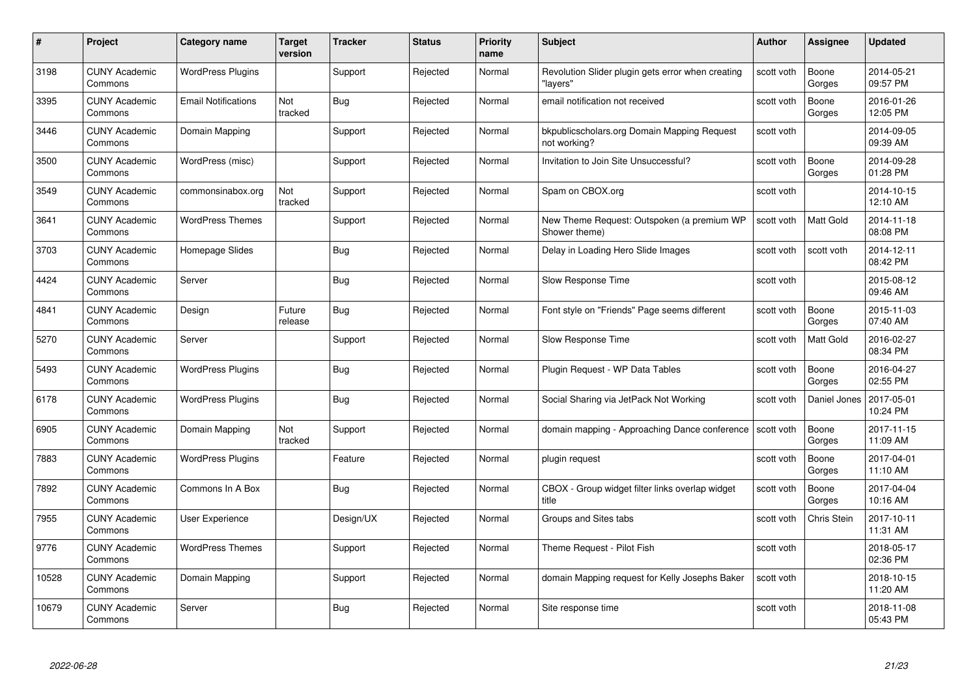| #     | Project                         | <b>Category name</b>       | <b>Target</b><br>version | <b>Tracker</b> | <b>Status</b> | <b>Priority</b><br>name | <b>Subject</b>                                                | <b>Author</b> | <b>Assignee</b>  | <b>Updated</b>         |
|-------|---------------------------------|----------------------------|--------------------------|----------------|---------------|-------------------------|---------------------------------------------------------------|---------------|------------------|------------------------|
| 3198  | <b>CUNY Academic</b><br>Commons | <b>WordPress Plugins</b>   |                          | Support        | Rejected      | Normal                  | Revolution Slider plugin gets error when creating<br>"layers' | scott voth    | Boone<br>Gorges  | 2014-05-21<br>09:57 PM |
| 3395  | <b>CUNY Academic</b><br>Commons | <b>Email Notifications</b> | Not<br>tracked           | Bug            | Rejected      | Normal                  | email notification not received                               | scott voth    | Boone<br>Gorges  | 2016-01-26<br>12:05 PM |
| 3446  | <b>CUNY Academic</b><br>Commons | Domain Mapping             |                          | Support        | Rejected      | Normal                  | bkpublicscholars.org Domain Mapping Request<br>not working?   | scott voth    |                  | 2014-09-05<br>09:39 AM |
| 3500  | <b>CUNY Academic</b><br>Commons | WordPress (misc)           |                          | Support        | Rejected      | Normal                  | Invitation to Join Site Unsuccessful?                         | scott voth    | Boone<br>Gorges  | 2014-09-28<br>01:28 PM |
| 3549  | <b>CUNY Academic</b><br>Commons | commonsinabox.org          | Not<br>tracked           | Support        | Rejected      | Normal                  | Spam on CBOX.org                                              | scott voth    |                  | 2014-10-15<br>12:10 AM |
| 3641  | <b>CUNY Academic</b><br>Commons | <b>WordPress Themes</b>    |                          | Support        | Rejected      | Normal                  | New Theme Request: Outspoken (a premium WP<br>Shower theme)   | scott voth    | Matt Gold        | 2014-11-18<br>08:08 PM |
| 3703  | <b>CUNY Academic</b><br>Commons | Homepage Slides            |                          | Bug            | Rejected      | Normal                  | Delay in Loading Hero Slide Images                            | scott voth    | scott voth       | 2014-12-11<br>08:42 PM |
| 4424  | <b>CUNY Academic</b><br>Commons | Server                     |                          | Bug            | Rejected      | Normal                  | Slow Response Time                                            | scott voth    |                  | 2015-08-12<br>09:46 AM |
| 4841  | <b>CUNY Academic</b><br>Commons | Design                     | Future<br>release        | <b>Bug</b>     | Rejected      | Normal                  | Font style on "Friends" Page seems different                  | scott voth    | Boone<br>Gorges  | 2015-11-03<br>07:40 AM |
| 5270  | <b>CUNY Academic</b><br>Commons | Server                     |                          | Support        | Rejected      | Normal                  | Slow Response Time                                            | scott voth    | <b>Matt Gold</b> | 2016-02-27<br>08:34 PM |
| 5493  | CUNY Academic<br>Commons        | <b>WordPress Plugins</b>   |                          | Bug            | Rejected      | Normal                  | Plugin Request - WP Data Tables                               | scott voth    | Boone<br>Gorges  | 2016-04-27<br>02:55 PM |
| 6178  | <b>CUNY Academic</b><br>Commons | <b>WordPress Plugins</b>   |                          | Bug            | Rejected      | Normal                  | Social Sharing via JetPack Not Working                        | scott voth    | Daniel Jones     | 2017-05-01<br>10:24 PM |
| 6905  | <b>CUNY Academic</b><br>Commons | Domain Mapping             | Not<br>tracked           | Support        | Rejected      | Normal                  | domain mapping - Approaching Dance conference                 | scott voth    | Boone<br>Gorges  | 2017-11-15<br>11:09 AM |
| 7883  | <b>CUNY Academic</b><br>Commons | <b>WordPress Plugins</b>   |                          | Feature        | Rejected      | Normal                  | plugin request                                                | scott voth    | Boone<br>Gorges  | 2017-04-01<br>11:10 AM |
| 7892  | <b>CUNY Academic</b><br>Commons | Commons In A Box           |                          | Bug            | Rejected      | Normal                  | CBOX - Group widget filter links overlap widget<br>title      | scott voth    | Boone<br>Gorges  | 2017-04-04<br>10:16 AM |
| 7955  | <b>CUNY Academic</b><br>Commons | User Experience            |                          | Design/UX      | Rejected      | Normal                  | Groups and Sites tabs                                         | scott voth    | Chris Stein      | 2017-10-11<br>11:31 AM |
| 9776  | <b>CUNY Academic</b><br>Commons | <b>WordPress Themes</b>    |                          | Support        | Rejected      | Normal                  | Theme Request - Pilot Fish                                    | scott voth    |                  | 2018-05-17<br>02:36 PM |
| 10528 | <b>CUNY Academic</b><br>Commons | Domain Mapping             |                          | Support        | Rejected      | Normal                  | domain Mapping request for Kelly Josephs Baker                | scott voth    |                  | 2018-10-15<br>11:20 AM |
| 10679 | CUNY Academic<br>Commons        | Server                     |                          | Bug            | Rejected      | Normal                  | Site response time                                            | scott voth    |                  | 2018-11-08<br>05:43 PM |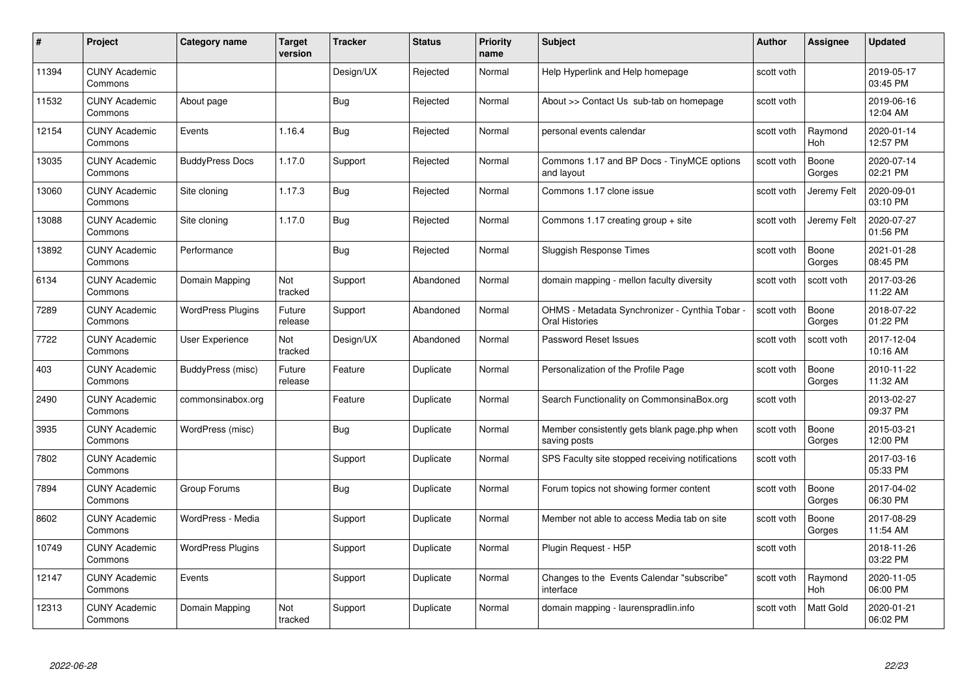| #     | Project                         | <b>Category name</b>     | Target<br>version | <b>Tracker</b> | <b>Status</b> | <b>Priority</b><br>name | <b>Subject</b>                                                   | <b>Author</b> | <b>Assignee</b> | <b>Updated</b>         |
|-------|---------------------------------|--------------------------|-------------------|----------------|---------------|-------------------------|------------------------------------------------------------------|---------------|-----------------|------------------------|
| 11394 | <b>CUNY Academic</b><br>Commons |                          |                   | Design/UX      | Rejected      | Normal                  | Help Hyperlink and Help homepage                                 | scott voth    |                 | 2019-05-17<br>03:45 PM |
| 11532 | <b>CUNY Academic</b><br>Commons | About page               |                   | <b>Bug</b>     | Rejected      | Normal                  | About >> Contact Us sub-tab on homepage                          | scott voth    |                 | 2019-06-16<br>12:04 AM |
| 12154 | <b>CUNY Academic</b><br>Commons | Events                   | 1.16.4            | <b>Bug</b>     | Rejected      | Normal                  | personal events calendar                                         | scott voth    | Raymond<br>Hoh  | 2020-01-14<br>12:57 PM |
| 13035 | <b>CUNY Academic</b><br>Commons | <b>BuddyPress Docs</b>   | 1.17.0            | Support        | Rejected      | Normal                  | Commons 1.17 and BP Docs - TinyMCE options<br>and layout         | scott voth    | Boone<br>Gorges | 2020-07-14<br>02:21 PM |
| 13060 | <b>CUNY Academic</b><br>Commons | Site cloning             | 1.17.3            | <b>Bug</b>     | Rejected      | Normal                  | Commons 1.17 clone issue                                         | scott voth    | Jeremy Felt     | 2020-09-01<br>03:10 PM |
| 13088 | <b>CUNY Academic</b><br>Commons | Site cloning             | 1.17.0            | Bug            | Rejected      | Normal                  | Commons 1.17 creating group + site                               | scott voth    | Jeremy Felt     | 2020-07-27<br>01:56 PM |
| 13892 | <b>CUNY Academic</b><br>Commons | Performance              |                   | <b>Bug</b>     | Rejected      | Normal                  | Sluggish Response Times                                          | scott voth    | Boone<br>Gorges | 2021-01-28<br>08:45 PM |
| 6134  | <b>CUNY Academic</b><br>Commons | Domain Mapping           | Not<br>tracked    | Support        | Abandoned     | Normal                  | domain mapping - mellon faculty diversity                        | scott voth    | scott voth      | 2017-03-26<br>11:22 AM |
| 7289  | <b>CUNY Academic</b><br>Commons | <b>WordPress Plugins</b> | Future<br>release | Support        | Abandoned     | Normal                  | OHMS - Metadata Synchronizer - Cynthia Tobar ·<br>Oral Histories | scott voth    | Boone<br>Gorges | 2018-07-22<br>01:22 PM |
| 7722  | <b>CUNY Academic</b><br>Commons | User Experience          | Not<br>tracked    | Design/UX      | Abandoned     | Normal                  | Password Reset Issues                                            | scott voth    | scott voth      | 2017-12-04<br>10:16 AM |
| 403   | CUNY Academic<br>Commons        | BuddyPress (misc)        | Future<br>release | Feature        | Duplicate     | Normal                  | Personalization of the Profile Page                              | scott voth    | Boone<br>Gorges | 2010-11-22<br>11:32 AM |
| 2490  | <b>CUNY Academic</b><br>Commons | commonsinabox.org        |                   | Feature        | Duplicate     | Normal                  | Search Functionality on CommonsinaBox.org                        | scott voth    |                 | 2013-02-27<br>09:37 PM |
| 3935  | <b>CUNY Academic</b><br>Commons | WordPress (misc)         |                   | <b>Bug</b>     | Duplicate     | Normal                  | Member consistently gets blank page.php when<br>saving posts     | scott voth    | Boone<br>Gorges | 2015-03-21<br>12:00 PM |
| 7802  | <b>CUNY Academic</b><br>Commons |                          |                   | Support        | Duplicate     | Normal                  | SPS Faculty site stopped receiving notifications                 | scott voth    |                 | 2017-03-16<br>05:33 PM |
| 7894  | <b>CUNY Academic</b><br>Commons | Group Forums             |                   | Bug            | Duplicate     | Normal                  | Forum topics not showing former content                          | scott voth    | Boone<br>Gorges | 2017-04-02<br>06:30 PM |
| 8602  | <b>CUNY Academic</b><br>Commons | WordPress - Media        |                   | Support        | Duplicate     | Normal                  | Member not able to access Media tab on site                      | scott voth    | Boone<br>Gorges | 2017-08-29<br>11:54 AM |
| 10749 | <b>CUNY Academic</b><br>Commons | <b>WordPress Plugins</b> |                   | Support        | Duplicate     | Normal                  | Plugin Request - H5P                                             | scott voth    |                 | 2018-11-26<br>03:22 PM |
| 12147 | <b>CUNY Academic</b><br>Commons | Events                   |                   | Support        | Duplicate     | Normal                  | Changes to the Events Calendar "subscribe"<br>interface          | scott voth    | Raymond<br>Hoh  | 2020-11-05<br>06:00 PM |
| 12313 | <b>CUNY Academic</b><br>Commons | Domain Mapping           | Not<br>tracked    | Support        | Duplicate     | Normal                  | domain mapping - laurenspradlin.info                             | scott voth    | Matt Gold       | 2020-01-21<br>06:02 PM |